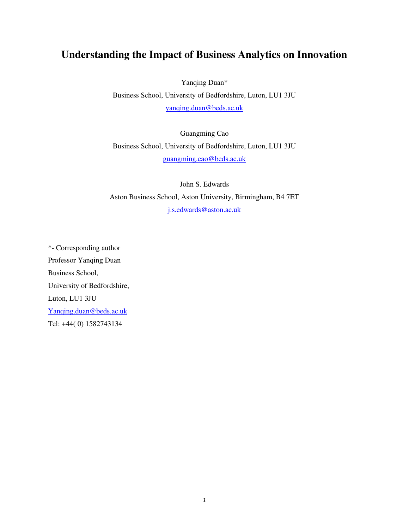# **Understanding the Impact of Business Analytics on Innovation**

Yanqing Duan\*

Business School, University of Bedfordshire, Luton, LU1 3JU [yanqing.duan@beds.ac.uk](mailto:yanqing.duan@beds.ac.uk)

Guangming Cao Business School, University of Bedfordshire, Luton, LU1 3JU [guangming.cao@beds.ac.uk](mailto:guangming.cao@beds.ac.uk)

John S. Edwards Aston Business School, Aston University, Birmingham, B4 7ET [j.s.edwards@aston.ac.uk](mailto:j.s.edwards@aston.ac.uk)

\*- Corresponding author Professor Yanqing Duan Business School, University of Bedfordshire, Luton, LU1 3JU [Yanqing.duan@beds.ac.uk](mailto:Yanqing.duan@beds.ac.uk) Tel: +44( 0) 1582743134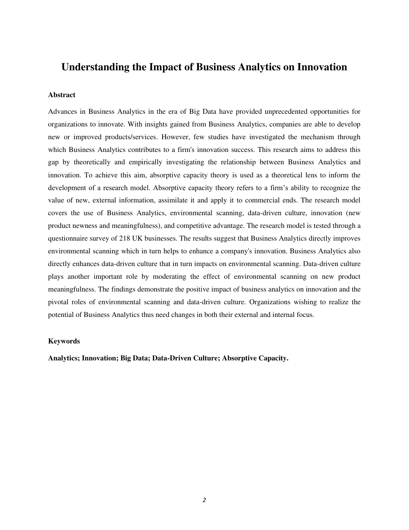## **Understanding the Impact of Business Analytics on Innovation**

## **Abstract**

Advances in Business Analytics in the era of Big Data have provided unprecedented opportunities for organizations to innovate. With insights gained from Business Analytics, companies are able to develop new or improved products/services. However, few studies have investigated the mechanism through which Business Analytics contributes to a firm's innovation success. This research aims to address this gap by theoretically and empirically investigating the relationship between Business Analytics and innovation. To achieve this aim, absorptive capacity theory is used as a theoretical lens to inform the development of a research model. Absorptive capacity theory refers to a firm's ability to recognize the value of new, external information, assimilate it and apply it to commercial ends. The research model covers the use of Business Analytics, environmental scanning, data-driven culture, innovation (new product newness and meaningfulness), and competitive advantage. The research model is tested through a questionnaire survey of 218 UK businesses. The results suggest that Business Analytics directly improves environmental scanning which in turn helps to enhance a company's innovation. Business Analytics also directly enhances data-driven culture that in turn impacts on environmental scanning. Data-driven culture plays another important role by moderating the effect of environmental scanning on new product meaningfulness. The findings demonstrate the positive impact of business analytics on innovation and the pivotal roles of environmental scanning and data-driven culture. Organizations wishing to realize the potential of Business Analytics thus need changes in both their external and internal focus.

## **Keywords**

**Analytics; Innovation; Big Data; Data-Driven Culture; Absorptive Capacity.**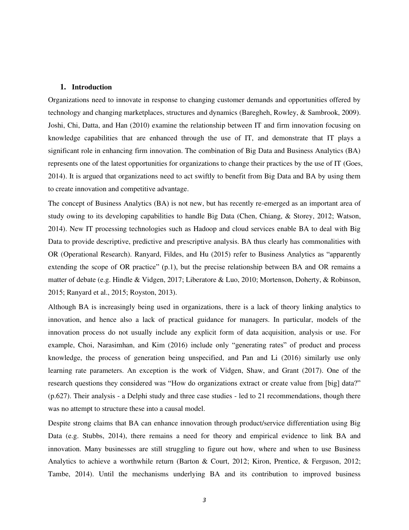#### **1. Introduction**

Organizations need to innovate in response to changing customer demands and opportunities offered by technology and changing marketplaces, structures and dynamics [\(Baregheh, Rowley, & Sambrook, 2009\)](#page-28-0). [Joshi, Chi, Datta, and Han \(2010\)](#page-30-0) examine the relationship between IT and firm innovation focusing on knowledge capabilities that are enhanced through the use of IT, and demonstrate that IT plays a significant role in enhancing firm innovation. The combination of Big Data and Business Analytics (BA) represents one of the latest opportunities for organizations to change their practices by the use of IT [\(Goes,](#page-30-1)  [2014\)](#page-30-1). It is argued that organizations need to act swiftly to benefit from Big Data and BA by using them to create innovation and competitive advantage.

The concept of Business Analytics (BA) is not new, but has recently re-emerged as an important area of study owing to its developing capabilities to handle Big Data [\(Chen, Chiang, & Storey, 2012;](#page-29-0) [Watson,](#page-33-0)  [2014\)](#page-33-0). New IT processing technologies such as Hadoop and cloud services enable BA to deal with Big Data to provide descriptive, predictive and prescriptive analysis. BA thus clearly has commonalities with OR (Operational Research). [Ranyard, Fildes, and Hu \(2015\)](#page-32-0) refer to Business Analytics as "apparently extending the scope of OR practice" (p.1), but the precise relationship between BA and OR remains a matter of debate (e.g. [Hindle & Vidgen, 2017;](#page-30-2) [Liberatore & Luo, 2010;](#page-31-0) [Mortenson, Doherty, & Robinson,](#page-31-1)  [2015;](#page-31-1) [Ranyard et al., 2015;](#page-32-0) [Royston, 2013\)](#page-32-1).

Although BA is increasingly being used in organizations, there is a lack of theory linking analytics to innovation, and hence also a lack of practical guidance for managers. In particular, models of the innovation process do not usually include any explicit form of data acquisition, analysis or use. For example, [Choi, Narasimhan, and Kim \(2016\)](#page-29-1) include only "generating rates" of product and process knowledge, the process of generation being unspecified, and [Pan and Li \(2016\)](#page-32-2) similarly use only learning rate parameters. An exception is the work of [Vidgen, Shaw, and Grant \(2017\).](#page-33-1) One of the research questions they considered was "How do organizations extract or create value from [big] data?" (p.627). Their analysis - a Delphi study and three case studies - led to 21 recommendations, though there was no attempt to structure these into a causal model.

Despite strong claims that BA can enhance innovation through product/service differentiation using Big Data [\(e.g. Stubbs, 2014\)](#page-32-3), there remains a need for theory and empirical evidence to link BA and innovation. Many businesses are still struggling to figure out how, where and when to use Business Analytics to achieve a worthwhile return [\(Barton & Court, 2012;](#page-28-1) [Kiron, Prentice, & Ferguson, 2012;](#page-30-3) [Tambe, 2014\)](#page-32-4). Until the mechanisms underlying BA and its contribution to improved business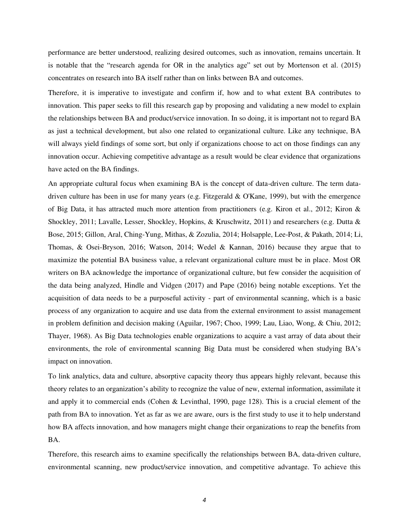performance are better understood, realizing desired outcomes, such as innovation, remains uncertain. It is notable that the "research agenda for OR in the analytics age" set out by [Mortenson et al. \(2015\)](#page-31-1)  concentrates on research into BA itself rather than on links between BA and outcomes.

Therefore, it is imperative to investigate and confirm if, how and to what extent BA contributes to innovation. This paper seeks to fill this research gap by proposing and validating a new model to explain the relationships between BA and product/service innovation. In so doing, it is important not to regard BA as just a technical development, but also one related to organizational culture. Like any technique, BA will always yield findings of some sort, but only if organizations choose to act on those findings can any innovation occur. Achieving competitive advantage as a result would be clear evidence that organizations have acted on the BA findings.

An appropriate cultural focus when examining BA is the concept of data-driven culture. The term datadriven culture has been in use for many years [\(e.g. Fitzgerald & O'Kane, 1999\)](#page-29-2), but with the emergence of Big Data, it has attracted much more attention from practitioners (e.g. [Kiron et al., 2012;](#page-30-3) [Kiron &](#page-31-2)  [Shockley, 2011;](#page-31-2) [Lavalle, Lesser, Shockley, Hopkins, & Kruschwitz, 2011\)](#page-31-3) and researchers (e.g. [Dutta &](#page-29-3) [Bose, 2015;](#page-29-3) [Gillon, Aral, Ching-Yung, Mithas, & Zozulia, 2014;](#page-29-4) [Holsapple, Lee-Post, & Pakath, 2014;](#page-30-4) [Li,](#page-31-4)  [Thomas, & Osei-Bryson, 2016;](#page-31-4) [Watson, 2014;](#page-33-0) [Wedel & Kannan, 2016\)](#page-33-2) because they argue that to maximize the potential BA business value, a relevant organizational culture must be in place. Most OR writers on BA acknowledge the importance of organizational culture, but few consider the acquisition of the data being analyzed, [Hindle and Vidgen \(2017\)](#page-30-2) and [Pape \(2016\)](#page-32-5) being notable exceptions. Yet the acquisition of data needs to be a purposeful activity - part of environmental scanning, which is a basic process of any organization to acquire and use data from the external environment to assist management in problem definition and decision making [\(Aguilar, 1967;](#page-28-2) [Choo, 1999;](#page-29-5) [Lau, Liao, Wong, & Chiu, 2012;](#page-31-5) [Thayer, 1968\)](#page-32-6). As Big Data technologies enable organizations to acquire a vast array of data about their environments, the role of environmental scanning Big Data must be considered when studying BA's impact on innovation.

To link analytics, data and culture, absorptive capacity theory thus appears highly relevant, because this theory relates to an organization's ability to recognize the value of new, external information, assimilate it and apply it to commercial ends [\(Cohen & Levinthal, 1990, page 128\)](#page-29-6). This is a crucial element of the path from BA to innovation. Yet as far as we are aware, ours is the first study to use it to help understand how BA affects innovation, and how managers might change their organizations to reap the benefits from BA.

Therefore, this research aims to examine specifically the relationships between BA, data-driven culture, environmental scanning, new product/service innovation, and competitive advantage. To achieve this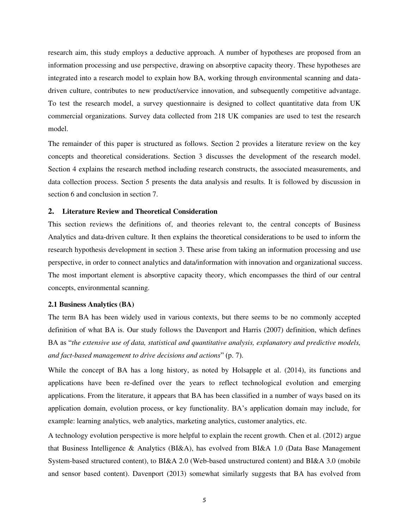research aim, this study employs a deductive approach. A number of hypotheses are proposed from an information processing and use perspective, drawing on absorptive capacity theory. These hypotheses are integrated into a research model to explain how BA, working through environmental scanning and datadriven culture, contributes to new product/service innovation, and subsequently competitive advantage. To test the research model, a survey questionnaire is designed to collect quantitative data from UK commercial organizations. Survey data collected from 218 UK companies are used to test the research model.

The remainder of this paper is structured as follows. Section 2 provides a literature review on the key concepts and theoretical considerations. Section 3 discusses the development of the research model. Section 4 explains the research method including research constructs, the associated measurements, and data collection process. Section 5 presents the data analysis and results. It is followed by discussion in section 6 and conclusion in section 7.

### **2. Literature Review and Theoretical Consideration**

This section reviews the definitions of, and theories relevant to, the central concepts of Business Analytics and data-driven culture. It then explains the theoretical considerations to be used to inform the research hypothesis development in section 3. These arise from taking an information processing and use perspective, in order to connect analytics and data/information with innovation and organizational success. The most important element is absorptive capacity theory, which encompasses the third of our central concepts, environmental scanning.

#### **2.1 Business Analytics (BA)**

The term BA has been widely used in various contexts, but there seems to be no commonly accepted definition of what BA is. Our study follows the [Davenport and Harris \(2007\)](#page-29-7) definition, which defines BA as "*the extensive use of data, statistical and quantitative analysis, explanatory and predictive models, and fact-based management to drive decisions and actions*" (p. 7).

While the concept of BA has a long history, as noted by [Holsapple et al. \(2014\),](#page-30-4) its functions and applications have been re-defined over the years to reflect technological evolution and emerging applications. From the literature, it appears that BA has been classified in a number of ways based on its application domain, evolution process, or key functionality. BA's application domain may include, for example: learning analytics, web analytics, marketing analytics, customer analytics, etc.

A technology evolution perspective is more helpful to explain the recent growth. [Chen et al. \(2012\)](#page-29-0) argue that Business Intelligence & Analytics (BI&A), has evolved from BI&A 1.0 (Data Base Management System-based structured content), to BI&A 2.0 (Web-based unstructured content) and BI&A 3.0 (mobile and sensor based content). [Davenport \(2013\)](#page-29-8) somewhat similarly suggests that BA has evolved from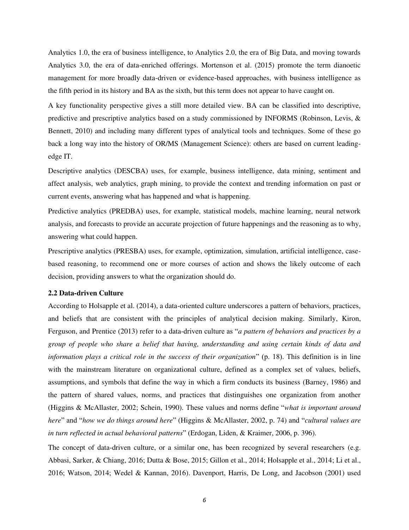Analytics 1.0, the era of business intelligence, to Analytics 2.0, the era of Big Data, and moving towards Analytics 3.0, the era of data-enriched offerings. [Mortenson et al. \(2015\)](#page-31-1) promote the term dianoetic management for more broadly data-driven or evidence-based approaches, with business intelligence as the fifth period in its history and BA as the sixth, but this term does not appear to have caught on.

A key functionality perspective gives a still more detailed view. BA can be classified into descriptive, predictive and prescriptive analytics based on a study commissioned by INFORMS [\(Robinson, Levis, &](#page-32-7)  [Bennett, 2010\)](#page-32-7) and including many different types of analytical tools and techniques. Some of these go back a long way into the history of OR/MS (Management Science): others are based on current leadingedge IT.

Descriptive analytics (DESCBA) uses, for example, business intelligence, data mining, sentiment and affect analysis, web analytics, graph mining, to provide the context and trending information on past or current events, answering what has happened and what is happening.

Predictive analytics (PREDBA) uses, for example, statistical models, machine learning, neural network analysis, and forecasts to provide an accurate projection of future happenings and the reasoning as to why, answering what could happen.

Prescriptive analytics (PRESBA) uses, for example, optimization, simulation, artificial intelligence, casebased reasoning, to recommend one or more courses of action and shows the likely outcome of each decision, providing answers to what the organization should do.

#### **2.2 Data-driven Culture**

According to Holsapple et al. (2014), a data-oriented culture underscores a pattern of behaviors, practices, and beliefs that are consistent with the principles of analytical decision making. Similarly, [Kiron,](#page-30-5)  Ferguson, and Prentice (2013) refer to a data-driven culture as "*a pattern of behaviors and practices by a group of people who share a belief that having, understanding and using certain kinds of data and information plays a critical role in the success of their organization*" (p. 18). This definition is in line with the mainstream literature on organizational culture, defined as a complex set of values, beliefs, assumptions, and symbols that define the way in which a firm conducts its business [\(Barney, 1986\)](#page-28-3) and the pattern of shared values, norms, and practices that distinguishes one organization from another [\(Higgins & McAllaster, 2002;](#page-30-6) [Schein, 1990\)](#page-32-8). These values and norms define "*what is important around here*" and "*how we do things around here*" [\(Higgins & McAllaster, 2002, p. 74\)](#page-30-6) and "*cultural values are in turn reflected in actual behavioral patterns*" [\(Erdogan, Liden, & Kraimer, 2006, p. 396\)](#page-29-9).

The concept of data-driven culture, or a similar one, has been recognized by several researchers (e.g. [Abbasi, Sarker, & Chiang, 2016;](#page-28-4) [Dutta & Bose, 2015;](#page-29-3) [Gillon et al., 2014;](#page-29-4) [Holsapple et al., 2014;](#page-30-4) [Li et al.,](#page-31-4)  [2016;](#page-31-4) [Watson, 2014;](#page-33-0) [Wedel & Kannan, 2016\)](#page-33-2). [Davenport, Harris, De Long, and Jacobson \(2001\)](#page-29-10) used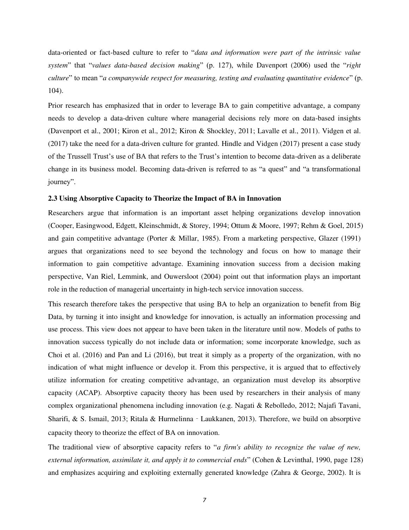data-oriented or fact-based culture to refer to "*data and information were part of the intrinsic value system*" that "*values data-based decision making*" (p. 127), while [Davenport \(2006\)](#page-29-11) used the "*right culture*" to mean "*a companywide respect for measuring, testing and evaluating quantitative evidence*" (p. 104).

Prior research has emphasized that in order to leverage BA to gain competitive advantage, a company needs to develop a data-driven culture where managerial decisions rely more on data-based insights [\(Davenport et al., 2001;](#page-29-10) [Kiron et al., 2012;](#page-30-3) [Kiron & Shockley, 2011;](#page-31-2) [Lavalle et al., 2011\)](#page-31-3). [Vidgen et al.](#page-33-1)  (2017) take the need for a data-driven culture for granted. [Hindle and Vidgen \(2017\)](#page-30-2) present a case study of the Trussell Trust's use of BA that refers to the Trust's intention to become data-driven as a deliberate change in its business model. Becoming data-driven is referred to as "a quest" and "a transformational journey".

## **2.3 Using Absorptive Capacity to Theorize the Impact of BA in Innovation**

Researchers argue that information is an important asset helping organizations develop innovation [\(Cooper, Easingwood, Edgett, Kleinschmidt, & Storey, 1994;](#page-29-12) [Ottum & Moore, 1997;](#page-31-6) [Rehm & Goel, 2015\)](#page-32-9) and gain competitive advantage [\(Porter & Millar, 1985\)](#page-32-10). From a marketing perspective, Glazer [\(1991\)](#page-30-7) argues that organizations need to see beyond the technology and focus on how to manage their information to gain competitive advantage. Examining innovation success from a decision making perspective, [Van Riel, Lemmink, and Ouwersloot \(2004\)](#page-33-3) point out that information plays an important role in the reduction of managerial uncertainty in high-tech service innovation success.

This research therefore takes the perspective that using BA to help an organization to benefit from Big Data, by turning it into insight and knowledge for innovation, is actually an information processing and use process. This view does not appear to have been taken in the literature until now. Models of paths to innovation success typically do not include data or information; some incorporate knowledge, such as [Choi et al. \(2016\)](#page-29-1) and [Pan and Li \(2016\),](#page-32-2) but treat it simply as a property of the organization, with no indication of what might influence or develop it. From this perspective, it is argued that to effectively utilize information for creating competitive advantage, an organization must develop its absorptive capacity (ACAP). Absorptive capacity theory has been used by researchers in their analysis of many complex organizational phenomena including innovation [\(e.g. Nagati & Rebolledo, 2012;](#page-31-7) [Najafi Tavani,](#page-31-8)  [Sharifi, & S. Ismail, 2013;](#page-31-8) [Ritala & Hurmelinna](#page-32-11)‐Laukkanen, 2013). Therefore, we build on absorptive capacity theory to theorize the effect of BA on innovation.

The traditional view of absorptive capacity refers to "*a firm's ability to recognize the value of new, external information, assimilate it, and apply it to commercial ends*" [\(Cohen & Levinthal, 1990, page 128\)](#page-29-6) and emphasizes acquiring and exploiting externally generated knowledge [\(Zahra & George, 2002\)](#page-33-4). It is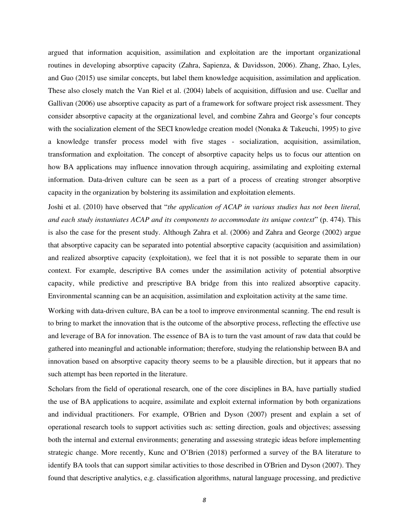argued that information acquisition, assimilation and exploitation are the important organizational routines in developing absorptive capacity [\(Zahra, Sapienza, & Davidsson, 2006\)](#page-33-5). [Zhang, Zhao, Lyles,](#page-33-6)  and Guo (2015) use similar concepts, but label them knowledge acquisition, assimilation and application. These also closely match the [Van Riel et al. \(2004\)](#page-33-3) labels of acquisition, diffusion and use. [Cuellar and](#page-29-13)  Gallivan (2006) use absorptive capacity as part of a framework for software project risk assessment. They consider absorptive capacity at the organizational level, and combine Zahra and George's four concepts with the socialization element of the SECI knowledge creation model [\(Nonaka & Takeuchi, 1995\)](#page-31-9) to give a knowledge transfer process model with five stages - socialization, acquisition, assimilation, transformation and exploitation. The concept of absorptive capacity helps us to focus our attention on how BA applications may influence innovation through acquiring, assimilating and exploiting external information. Data-driven culture can be seen as a part of a process of creating stronger absorptive capacity in the organization by bolstering its assimilation and exploitation elements.

[Joshi et al. \(2010\)](#page-30-0) have observed that "*the application of ACAP in various studies has not been literal, and each study instantiates ACAP and its components to accommodate its unique context*" (p. 474). This is also the case for the present study. Although [Zahra et al. \(2006\)](#page-33-5) and [Zahra and George \(2002\)](#page-33-4) argue that absorptive capacity can be separated into potential absorptive capacity (acquisition and assimilation) and realized absorptive capacity (exploitation), we feel that it is not possible to separate them in our context. For example, descriptive BA comes under the assimilation activity of potential absorptive capacity, while predictive and prescriptive BA bridge from this into realized absorptive capacity. Environmental scanning can be an acquisition, assimilation and exploitation activity at the same time.

Working with data-driven culture, BA can be a tool to improve environmental scanning. The end result is to bring to market the innovation that is the outcome of the absorptive process, reflecting the effective use and leverage of BA for innovation. The essence of BA is to turn the vast amount of raw data that could be gathered into meaningful and actionable information; therefore, studying the relationship between BA and innovation based on absorptive capacity theory seems to be a plausible direction, but it appears that no such attempt has been reported in the literature.

Scholars from the field of operational research, one of the core disciplines in BA, have partially studied the use of BA applications to acquire, assimilate and exploit external information by both organizations and individual practitioners. For example, [O'Brien and Dyson \(2007\)](#page-31-10) present and explain a set of operational research tools to support activities such as: setting direction, goals and objectives; assessing both the internal and external environments; generating and assessing strategic ideas before implementing strategic change. More recently, [Kunc and O'Brien \(2018\)](#page-31-11) performed a survey of the BA literature to identify BA tools that can support similar activities to those described in O'Brien and Dyson (2007). They found that descriptive analytics, e.g. classification algorithms, natural language processing, and predictive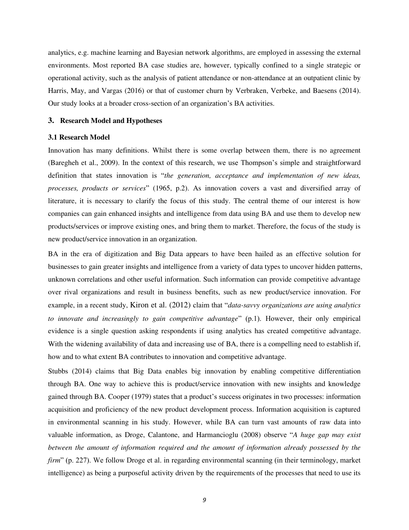analytics, e.g. machine learning and Bayesian network algorithms, are employed in assessing the external environments. Most reported BA case studies are, however, typically confined to a single strategic or operational activity, such as the analysis of patient attendance or non-attendance at an outpatient clinic by [Harris, May, and Vargas \(2016\)](#page-30-8) or that of customer churn by [Verbraken, Verbeke, and Baesens \(2014\).](#page-33-7) Our study looks at a broader cross-section of an organization's BA activities.

#### **3. Research Model and Hypotheses**

#### **3.1 Research Model**

Innovation has many definitions. Whilst there is some overlap between them, there is no agreement [\(Baregheh et al., 2009\)](#page-28-0). In the context of this research, we use Thompson's simple and straightforward definition that states innovation is "*the generation, acceptance and implementation of new ideas, processes, products or services*" [\(1965, p.2\)](#page-32-12). As innovation covers a vast and diversified array of literature, it is necessary to clarify the focus of this study. The central theme of our interest is how companies can gain enhanced insights and intelligence from data using BA and use them to develop new products/services or improve existing ones, and bring them to market. Therefore, the focus of the study is new product/service innovation in an organization.

BA in the era of digitization and Big Data appears to have been hailed as an effective solution for businesses to gain greater insights and intelligence from a variety of data types to uncover hidden patterns, unknown correlations and other useful information. Such information can provide competitive advantage over rival organizations and result in business benefits, such as new product/service innovation. For example, in a recent study, [Kiron et al. \(2012\)](#page-30-3) claim that "*data-savvy organizations are using analytics to innovate and increasingly to gain competitive advantage*" (p.1). However, their only empirical evidence is a single question asking respondents if using analytics has created competitive advantage. With the widening availability of data and increasing use of BA, there is a compelling need to establish if, how and to what extent BA contributes to innovation and competitive advantage.

Stubbs [\(2014\)](#page-32-3) claims that Big Data enables big innovation by enabling competitive differentiation through BA. One way to achieve this is product/service innovation with new insights and knowledge gained through BA. [Cooper \(1979\)](#page-29-14) states that a product's success originates in two processes: information acquisition and proficiency of the new product development process. Information acquisition is captured in environmental scanning in his study. However, while BA can turn vast amounts of raw data into valuable information, as [Droge, Calantone, and Harmancioglu \(2008\)](#page-29-15) observe "*A huge gap may exist between the amount of information required and the amount of information already possessed by the firm*" (p. 227). We follow Droge et al. in regarding environmental scanning (in their terminology, market intelligence) as being a purposeful activity driven by the requirements of the processes that need to use its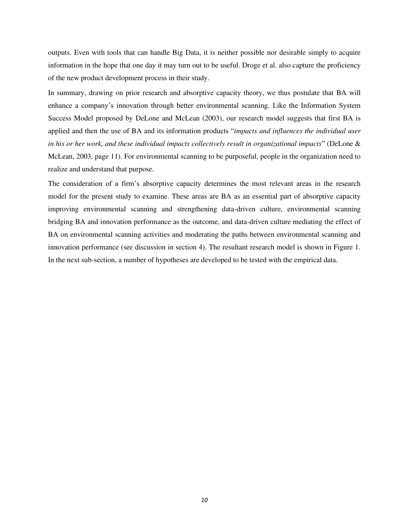outputs. Even with tools that can handle Big Data, it is neither possible nor desirable simply to acquire information in the hope that one day it may turn out to be useful. Droge et al. also capture the proficiency of the new product development process in their study.

In summary, drawing on prior research and absorptive capacity theory, we thus postulate that BA will enhance a company's innovation through better environmental scanning. Like the Information System Success Model proposed by [DeLone and McLean \(2003\),](#page-29-16) our research model suggests that first BA is applied and then the use of BA and its information products "*impacts and influences the individual user in his or her work, and these individual impacts collectively result in organizational impacts*" [\(DeLone &](#page-29-16)  [McLean, 2003, page 11\)](#page-29-16). For environmental scanning to be purposeful, people in the organization need to realize and understand that purpose.

The consideration of a firm's absorptive capacity determines the most relevant areas in the research model for the present study to examine. These areas are BA as an essential part of absorptive capacity improving environmental scanning and strengthening data-driven culture, environmental scanning bridging BA and innovation performance as the outcome, and data-driven culture mediating the effect of BA on environmental scanning activities and moderating the paths between environmental scanning and innovation performance (see discussion in section 4). The resultant research model is shown in Figure 1. In the next sub-section, a number of hypotheses are developed to be tested with the empirical data.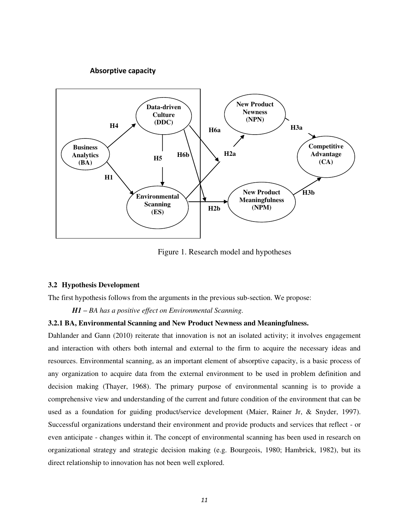## **Absorptive capacity**



Figure 1. Research model and hypotheses

#### **3.2 Hypothesis Development**

The first hypothesis follows from the arguments in the previous sub-section. We propose:

*H1 – BA has a positive effect on Environmental Scanning.* 

## **3.2.1 BA, Environmental Scanning and New Product Newness and Meaningfulness.**

[Dahlander and Gann \(2010\)](#page-29-17) reiterate that innovation is not an isolated activity; it involves engagement and interaction with others both internal and external to the firm to acquire the necessary ideas and resources. Environmental scanning, as an important element of absorptive capacity, is a basic process of any organization to acquire data from the external environment to be used in problem definition and decision making [\(Thayer, 1968\)](#page-32-6). The primary purpose of environmental scanning is to provide a comprehensive view and understanding of the current and future condition of the environment that can be used as a foundation for guiding product/service development [\(Maier, Rainer Jr, & Snyder, 1997\)](#page-31-12). Successful organizations understand their environment and provide products and services that reflect - or even anticipate - changes within it. The concept of environmental scanning has been used in research on organizational strategy and strategic decision making (e.g. [Bourgeois, 1980;](#page-28-5) [Hambrick, 1982\)](#page-30-9), but its direct relationship to innovation has not been well explored.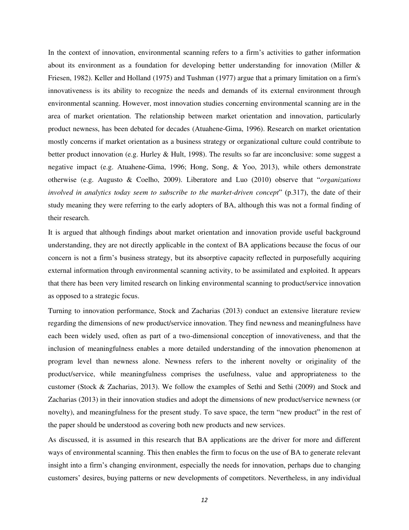In the context of innovation, environmental scanning refers to a firm's activities to gather information about its environment as a foundation for developing better understanding for innovation [\(Miller &](#page-31-13)  [Friesen, 1982\)](#page-31-13). Keller and Holland [\(1975\)](#page-30-10) and Tushman [\(1977\)](#page-32-13) argue that a primary limitation on a firm's innovativeness is its ability to recognize the needs and demands of its external environment through environmental scanning. However, most innovation studies concerning environmental scanning are in the area of market orientation. The relationship between market orientation and innovation, particularly product newness, has been debated for decades [\(Atuahene-Gima, 1996\)](#page-28-6). Research on market orientation mostly concerns if market orientation as a business strategy or organizational culture could contribute to better product innovation [\(e.g. Hurley & Hult, 1998\)](#page-30-11). The results so far are inconclusive: some suggest a negative impact (e.g. [Atuahene-Gima, 1996;](#page-28-6) [Hong, Song, & Yoo, 2013\)](#page-30-12), while others demonstrate otherwise [\(e.g. Augusto & Coelho, 2009\)](#page-28-7). Liberatore and Luo (2010) observe that "*organizations involved in analytics today seem to subscribe to the market-driven concept*" (p.317), the date of their study meaning they were referring to the early adopters of BA, although this was not a formal finding of their research.

It is argued that although findings about market orientation and innovation provide useful background understanding, they are not directly applicable in the context of BA applications because the focus of our concern is not a firm's business strategy, but its absorptive capacity reflected in purposefully acquiring external information through environmental scanning activity, to be assimilated and exploited. It appears that there has been very limited research on linking environmental scanning to product/service innovation as opposed to a strategic focus.

Turning to innovation performance, [Stock and Zacharias \(2013\)](#page-32-14) conduct an extensive literature review regarding the dimensions of new product/service innovation. They find newness and meaningfulness have each been widely used, often as part of a two-dimensional conception of innovativeness, and that the inclusion of meaningfulness enables a more detailed understanding of the innovation phenomenon at program level than newness alone. Newness refers to the inherent novelty or originality of the product/service, while meaningfulness comprises the usefulness, value and appropriateness to the customer [\(Stock & Zacharias, 2013\)](#page-32-14). We follow the examples of [Sethi and Sethi \(2009\)](#page-32-15) and Stock and Zacharias (2013) in their innovation studies and adopt the dimensions of new product/service newness (or novelty), and meaningfulness for the present study. To save space, the term "new product" in the rest of the paper should be understood as covering both new products and new services.

As discussed, it is assumed in this research that BA applications are the driver for more and different ways of environmental scanning. This then enables the firm to focus on the use of BA to generate relevant insight into a firm's changing environment, especially the needs for innovation, perhaps due to changing customers' desires, buying patterns or new developments of competitors. Nevertheless, in any individual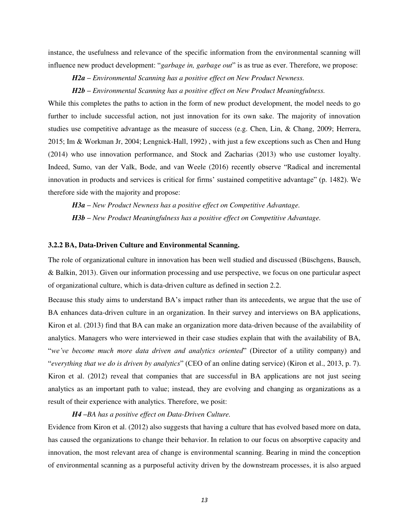instance, the usefulness and relevance of the specific information from the environmental scanning will influence new product development: "*garbage in, garbage out*" is as true as ever. Therefore, we propose:

*H2a – Environmental Scanning has a positive effect on New Product Newness.*

*H2b – Environmental Scanning has a positive effect on New Product Meaningfulness.* 

While this completes the paths to action in the form of new product development, the model needs to go further to include successful action, not just innovation for its own sake. The majority of innovation studies use competitive advantage as the measure of success (e.g. [Chen, Lin, & Chang, 2009;](#page-29-18) [Herrera,](#page-30-13)  [2015;](#page-30-13) [Im & Workman Jr, 2004;](#page-30-14) [Lengnick-Hall, 1992\)](#page-31-14) , with just a few exceptions such as [Chen and Hung](#page-29-19)  (2014) who use innovation performance, and [Stock and Zacharias \(2013\)](#page-32-14) who use customer loyalty. Indeed, [Sumo, van der Valk, Bode, and van Weele \(2016\)](#page-32-16) recently observe "Radical and incremental innovation in products and services is critical for firms' sustained competitive advantage" (p. 1482). We therefore side with the majority and propose:

*H3a – New Product Newness has a positive effect on Competitive Advantage. H3b – New Product Meaningfulness has a positive effect on Competitive Advantage.*

## **3.2.2 BA, Data-Driven Culture and Environmental Scanning.**

The role of organizational culture in innovation has been well studied and discussed [\(Büschgens, Bausch,](#page-28-8)  [& Balkin, 2013\)](#page-28-8). Given our information processing and use perspective, we focus on one particular aspect of organizational culture, which is data-driven culture as defined in section 2.2.

Because this study aims to understand BA's impact rather than its antecedents, we argue that the use of BA enhances data-driven culture in an organization. In their survey and interviews on BA applications, [Kiron et al. \(2013\)](#page-30-5) find that BA can make an organization more data-driven because of the availability of analytics. Managers who were interviewed in their case studies explain that with the availability of BA, "*we've become much more data driven and analytics oriented*" (Director of a utility company) and "*everything that we do is driven by analytics*" (CEO of an online dating service) [\(Kiron et al., 2013, p. 7\)](#page-30-5). [Kiron et al. \(2012\)](#page-30-3) reveal that companies that are successful in BA applications are not just seeing analytics as an important path to value; instead, they are evolving and changing as organizations as a result of their experience with analytics. Therefore, we posit:

*H4 –BA has a positive effect on Data-Driven Culture.*

Evidence from [Kiron et al. \(2012\)](#page-30-3) also suggests that having a culture that has evolved based more on data, has caused the organizations to change their behavior. In relation to our focus on absorptive capacity and innovation, the most relevant area of change is environmental scanning. Bearing in mind the conception of environmental scanning as a purposeful activity driven by the downstream processes, it is also argued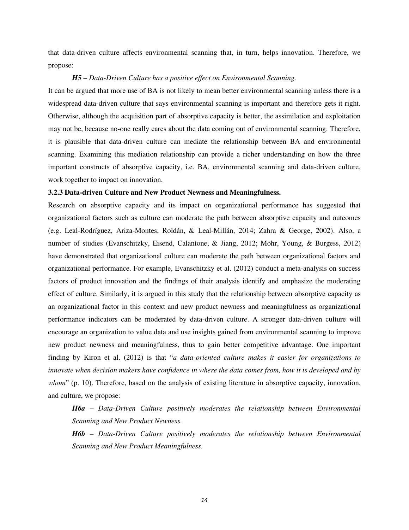that data-driven culture affects environmental scanning that, in turn, helps innovation. Therefore, we propose:

## *H5 – Data-Driven Culture has a positive effect on Environmental Scanning.*

It can be argued that more use of BA is not likely to mean better environmental scanning unless there is a widespread data-driven culture that says environmental scanning is important and therefore gets it right. Otherwise, although the acquisition part of absorptive capacity is better, the assimilation and exploitation may not be, because no-one really cares about the data coming out of environmental scanning. Therefore, it is plausible that data-driven culture can mediate the relationship between BA and environmental scanning. Examining this mediation relationship can provide a richer understanding on how the three important constructs of absorptive capacity, i.e. BA, environmental scanning and data-driven culture, work together to impact on innovation.

#### **3.2.3 Data-driven Culture and New Product Newness and Meaningfulness.**

Research on absorptive capacity and its impact on organizational performance has suggested that organizational factors such as culture can moderate the path between absorptive capacity and outcomes (e.g. [Leal-Rodríguez, Ariza-Montes, Roldán, & Leal-Millán, 2014;](#page-31-15) [Zahra & George, 2002\)](#page-33-4). Also, a number of studies [\(Evanschitzky, Eisend, Calantone, & Jiang, 2012;](#page-29-20) [Mohr, Young, & Burgess, 2012\)](#page-31-16) have demonstrated that organizational culture can moderate the path between organizational factors and organizational performance. For example, [Evanschitzky et al. \(2012\)](#page-29-20) conduct a meta-analysis on success factors of product innovation and the findings of their analysis identify and emphasize the moderating effect of culture. Similarly, it is argued in this study that the relationship between absorptive capacity as an organizational factor in this context and new product newness and meaningfulness as organizational performance indicators can be moderated by data-driven culture. A stronger data-driven culture will encourage an organization to value data and use insights gained from environmental scanning to improve new product newness and meaningfulness, thus to gain better competitive advantage. One important finding by [Kiron et al. \(2012\)](#page-30-3) is that "*a data-oriented culture makes it easier for organizations to innovate when decision makers have confidence in where the data comes from, how it is developed and by whom*" (p. 10). Therefore, based on the analysis of existing literature in absorptive capacity, innovation, and culture, we propose:

*H6a – Data-Driven Culture positively moderates the relationship between Environmental Scanning and New Product Newness.*

*H6b – Data-Driven Culture positively moderates the relationship between Environmental Scanning and New Product Meaningfulness.*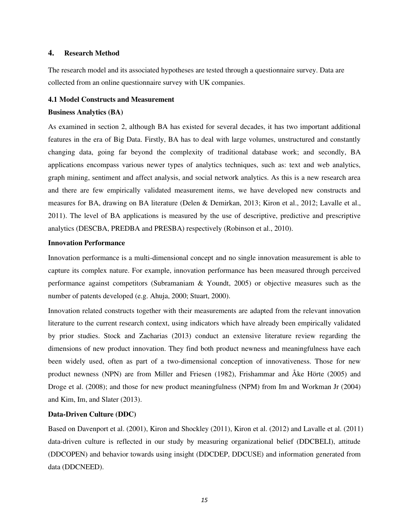## **4. Research Method**

The research model and its associated hypotheses are tested through a questionnaire survey. Data are collected from an online questionnaire survey with UK companies.

## **4.1 Model Constructs and Measurement**

## **Business Analytics (BA)**

As examined in section 2, although BA has existed for several decades, it has two important additional features in the era of Big Data. Firstly, BA has to deal with large volumes, unstructured and constantly changing data, going far beyond the complexity of traditional database work; and secondly, BA applications encompass various newer types of analytics techniques, such as: text and web analytics, graph mining, sentiment and affect analysis, and social network analytics. As this is a new research area and there are few empirically validated measurement items, we have developed new constructs and measures for BA, drawing on BA literature [\(Delen & Demirkan, 2013;](#page-29-21) [Kiron et al., 2012;](#page-30-3) [Lavalle et al.,](#page-31-3)  [2011\)](#page-31-3). The level of BA applications is measured by the use of descriptive, predictive and prescriptive analytics (DESCBA, PREDBA and PRESBA) respectively [\(Robinson et al., 2010\)](#page-32-7).

## **Innovation Performance**

Innovation performance is a multi-dimensional concept and no single innovation measurement is able to capture its complex nature. For example, innovation performance has been measured through perceived performance against competitors [\(Subramaniam & Youndt, 2005\)](#page-32-17) or objective measures such as the number of patents developed (e.g. [Ahuja, 2000;](#page-28-9) [Stuart, 2000\)](#page-32-18).

Innovation related constructs together with their measurements are adapted from the relevant innovation literature to the current research context, using indicators which have already been empirically validated by prior studies. Stock and Zacharias (2013) conduct an extensive literature review regarding the dimensions of new product innovation. They find both product newness and meaningfulness have each been widely used, often as part of a two-dimensional conception of innovativeness. Those for new product newness (NPN) are from [Miller and Friesen \(1982\),](#page-31-13) [Frishammar and Åke Hörte \(2005\)](#page-29-22) and [Droge et al. \(2008\);](#page-29-15) and those for new product meaningfulness (NPM) from [Im and Workman Jr \(2004\)](#page-30-14)  and [Kim, Im, and Slater \(2013\).](#page-30-15)

## **Data-Driven Culture (DDC)**

Based on [Davenport et al. \(2001\),](#page-29-10) [Kiron and Shockley \(2011\),](#page-31-2) [Kiron et al. \(2012\)](#page-30-3) and [Lavalle et al. \(2011\)](#page-31-3) data-driven culture is reflected in our study by measuring organizational belief (DDCBELI), attitude (DDCOPEN) and behavior towards using insight (DDCDEP, DDCUSE) and information generated from data (DDCNEED).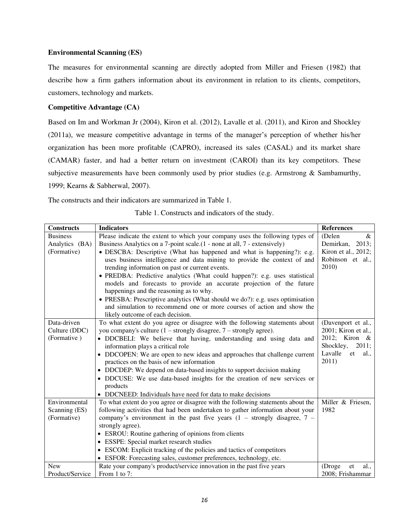## **Environmental Scanning (ES)**

The measures for environmental scanning are directly adopted from [Miller and Friesen \(1982\)](#page-31-13) that describe how a firm gathers information about its environment in relation to its clients, competitors, customers, technology and markets.

## **Competitive Advantage (CA)**

Based on [Im and Workman Jr \(2004\),](#page-30-14) [Kiron et al. \(2012\),](#page-30-3) [Lavalle et al. \(2011\),](#page-30-15) and [Kiron and Shockley](#page-30-16)  [\(2011a\)](#page-30-16), we measure competitive advantage in terms of the manager's perception of whether his/her organization has been more profitable (CAPRO), increased its sales (CASAL) and its market share (CAMAR) faster, and had a better return on investment (CAROI) than its key competitors. These subjective measurements have been commonly used by prior studies (e.g. [Armstrong & Sambamurthy,](#page-28-10)  [1999;](#page-28-10) [Kearns & Sabherwal, 2007\)](#page-30-16).

The constructs and their indicators are summarized in Table 1.

| Table 1. Constructs and indicators of the study. |  |  |  |  |
|--------------------------------------------------|--|--|--|--|
|--------------------------------------------------|--|--|--|--|

| <b>Constructs</b> | <b>Indicators</b>                                                                    | <b>References</b>     |
|-------------------|--------------------------------------------------------------------------------------|-----------------------|
| <b>Business</b>   | Please indicate the extent to which your company uses the following types of         | (Delen<br>$\&$        |
| Analytics (BA)    | Business Analytics on a 7-point scale.(1 - none at all, 7 - extensively)             | Demirkan, 2013;       |
| (Formative)       | • DESCBA: Descriptive (What has happened and what is happening?): e.g.               | Kiron et al., 2012;   |
|                   | uses business intelligence and data mining to provide the context of and             | Robinson et al.,      |
|                   | trending information on past or current events.                                      | 2010)                 |
|                   | • PREDBA: Predictive analytics (What could happen?): e.g. uses statistical           |                       |
|                   | models and forecasts to provide an accurate projection of the future                 |                       |
|                   | happenings and the reasoning as to why.                                              |                       |
|                   | • PRESBA: Prescriptive analytics (What should we do?): e.g. uses optimisation        |                       |
|                   | and simulation to recommend one or more courses of action and show the               |                       |
|                   | likely outcome of each decision.                                                     |                       |
| Data-driven       | To what extent do you agree or disagree with the following statements about          | (Davenport et al.,    |
| Culture (DDC)     | you company's culture $(1 -$ strongly disagree, $7 -$ strongly agree).               | 2001; Kiron et al.,   |
| (Formative)       | • DDCBELI: We believe that having, understanding and using data and                  | 2012; Kiron &         |
|                   | information plays a critical role                                                    | Shockley,<br>2011;    |
|                   | DDCOPEN: We are open to new ideas and approaches that challenge current              | Lavalle et<br>al.,    |
|                   | practices on the basis of new information                                            | 2011)                 |
|                   | • DDCDEP: We depend on data-based insights to support decision making                |                       |
|                   | • DDCUSE: We use data-based insights for the creation of new services or<br>products |                       |
|                   | DDCNEED: Individuals have need for data to make decisions<br>$\bullet$               |                       |
| Environmental     | To what extent do you agree or disagree with the following statements about the      | Miller & Friesen,     |
| Scanning (ES)     | following activities that had been undertaken to gather information about your       | 1982                  |
| (Formative)       | company's environment in the past five years $(1 -$ strongly disagree, $7 -$         |                       |
|                   | strongly agree).                                                                     |                       |
|                   | • ESROU: Routine gathering of opinions from clients                                  |                       |
|                   | • ESSPE: Special market research studies                                             |                       |
|                   | • ESCOM: Explicit tracking of the policies and tactics of competitors                |                       |
|                   | • ESFOR: Forecasting sales, customer preferences, technology, etc.                   |                       |
| <b>New</b>        | Rate your company's product/service innovation in the past five years                | (Droge)<br>et<br>al., |
| Product/Service   | From 1 to 7:                                                                         | 2008; Frishammar      |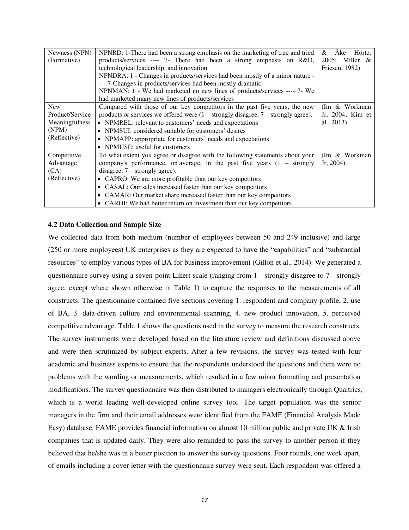| Newness (NPN)<br>(Formative)                                             | NPNRD: 1-There had been a strong emphasis on the marketing of true and tried<br>products/services ---- 7- There had been a strong emphasis on R&D,<br>technological leadership, and innovation<br>NPNDRA: 1 - Changes in products/services had been mostly of a minor nature -<br>--- 7-Changes in products/services had been mostly dramatic<br>NPNMAN: 1 - We had marketed no new lines of products/services ---- 7- We<br>had marketed many new lines of products/services | Ake<br>Hörte.<br>&<br>2005; Miller &<br>Friesen, 1982) |
|--------------------------------------------------------------------------|-------------------------------------------------------------------------------------------------------------------------------------------------------------------------------------------------------------------------------------------------------------------------------------------------------------------------------------------------------------------------------------------------------------------------------------------------------------------------------|--------------------------------------------------------|
| <b>New</b><br>Product/Service<br>Meaningfulness<br>(NPM)<br>(Reflective) | Compared with those of our key competitors in the past five years, the new<br>products or services we offered were $(1 -$ strongly disagree, $7 -$ strongly agree).<br>• NPMREL: relevant to customers' needs and expectations<br>• NPMSUI: considered suitable for customers' desires<br>• NPMAPP: appropriate for customers' needs and expectations<br>NPMUSE: useful for customers                                                                                         | (Im & Workman)<br>Jr, 2004; Kim et<br>al., 2013)       |
| Competitive<br>Advantage<br>(CA)<br>(Reflective)                         | To what extent you agree or disagree with the following statements about your<br>company's performance, on average, in the past five years $(1 -$ strongly<br>disagree, $7$ – strongly agree).<br>• CAPRO: We are more profitable than our key competitors<br>• CASAL: Our sales increased faster than our key competitors<br>• CAMAR: Our market share increased faster than our key competitors<br>• CAROI: We had better return on investment than our key competitors     | (Im & Workman)<br>Jr, 2004                             |

## **4.2 Data Collection and Sample Size**

We collected data from both medium (number of employees between 50 and 249 inclusive) and large (250 or more employees) UK enterprises as they are expected to have the "capabilities" and "substantial resources" to employ various types of BA for business improvement [\(Gillon et al., 2014\)](#page-29-4). We generated a questionnaire survey using a seven-point Likert scale (ranging from 1 - strongly disagree to 7 - strongly agree, except where shown otherwise in Table 1) to capture the responses to the measurements of all constructs. The questionnaire contained five sections covering 1. respondent and company profile, 2. use of BA, 3. data-driven culture and environmental scanning, 4. new product innovation, 5. perceived competitive advantage. Table 1 shows the questions used in the survey to measure the research constructs. The survey instruments were developed based on the literature review and definitions discussed above and were then scrutinized by subject experts. After a few revisions, the survey was tested with four academic and business experts to ensure that the respondents understood the questions and there were no problems with the wording or measurements, which resulted in a few minor formatting and presentation modifications. The survey questionnaire was then distributed to managers electronically through Qualtrics, which is a world leading well-developed online survey tool. The target population was the senior managers in the firm and their email addresses were identified from the FAME (Financial Analysis Made Easy) database. FAME provides financial information on almost 10 million public and private UK & Irish companies that is updated daily. They were also reminded to pass the survey to another person if they believed that he/she was in a better position to answer the survey questions. Four rounds, one week apart, of emails including a cover letter with the questionnaire survey were sent. Each respondent was offered a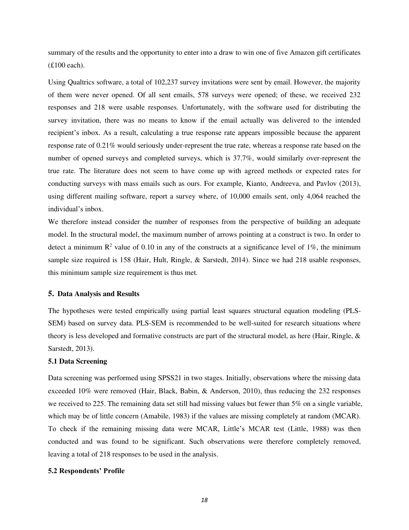summary of the results and the opportunity to enter into a draw to win one of five Amazon gift certificates (£100 each).

Using Qualtrics software, a total of 102,237 survey invitations were sent by email. However, the majority of them were never opened. Of all sent emails, 578 surveys were opened; of these, we received 232 responses and 218 were usable responses. Unfortunately, with the software used for distributing the survey invitation, there was no means to know if the email actually was delivered to the intended recipient's inbox. As a result, calculating a true response rate appears impossible because the apparent response rate of 0.21% would seriously under-represent the true rate, whereas a response rate based on the number of opened surveys and completed surveys, which is 37.7%, would similarly over-represent the true rate. The literature does not seem to have come up with agreed methods or expected rates for conducting surveys with mass emails such as ours. For example, [Kianto, Andreeva, and Pavlov \(2013\),](#page-30-17) using different mailing software, report a survey where, of 10,000 emails sent, only 4,064 reached the individual's inbox.

We therefore instead consider the number of responses from the perspective of building an adequate model. In the structural model, the maximum number of arrows pointing at a construct is two. In order to detect a minimum  $\mathbb{R}^2$  value of 0.10 in any of the constructs at a significance level of 1%, the minimum sample size required is 158 [\(Hair, Hult, Ringle, & Sarstedt, 2014\)](#page-30-18). Since we had 218 usable responses, this minimum sample size requirement is thus met.

### **5. Data Analysis and Results**

The hypotheses were tested empirically using partial least squares structural equation modeling (PLS-SEM) based on survey data. PLS-SEM is recommended to be well-suited for research situations where theory is less developed and formative constructs are part of the structural model, as here [\(Hair, Ringle, &](#page-30-19)  [Sarstedt, 2013\)](#page-30-19).

### **5.1 Data Screening**

Data screening was performed using SPSS21 in two stages. Initially, observations where the missing data exceeded 10% were removed [\(Hair, Black, Babin, & Anderson, 2010\)](#page-30-20), thus reducing the 232 responses we received to 225. The remaining data set still had missing values but fewer than 5% on a single variable, which may be of little concern [\(Amabile, 1983\)](#page-28-11) if the values are missing completely at random (MCAR). To check if the remaining missing data were MCAR, Little's MCAR test [\(Little, 1988\)](#page-31-17) was then conducted and was found to be significant. Such observations were therefore completely removed, leaving a total of 218 responses to be used in the analysis.

#### **5.2 Respondents' Profile**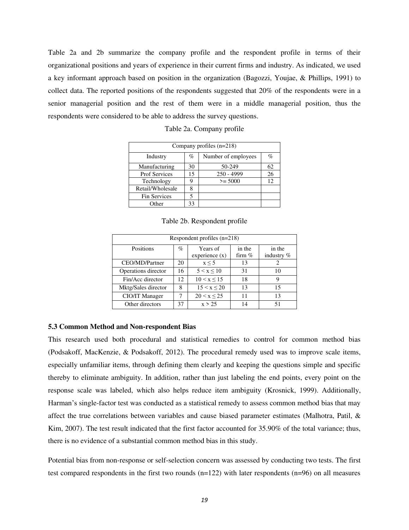Table 2a and 2b summarize the company profile and the respondent profile in terms of their organizational positions and years of experience in their current firms and industry. As indicated, we used a key informant approach based on position in the organization [\(Bagozzi, Youjae, & Phillips, 1991\)](#page-28-12) to collect data. The reported positions of the respondents suggested that 20% of the respondents were in a senior managerial position and the rest of them were in a middle managerial position, thus the respondents were considered to be able to address the survey questions.

| Company profiles $(n=218)$ |      |                     |      |  |  |  |
|----------------------------|------|---------------------|------|--|--|--|
| Industry                   | $\%$ | Number of employees | $\%$ |  |  |  |
| Manufacturing              | 30   | 50-249              | 62   |  |  |  |
| <b>Prof Services</b>       | 15   | $250 - 4999$        | 26   |  |  |  |
| Technology                 |      | $>= 5000$           | 12   |  |  |  |
| Retail/Wholesale           |      |                     |      |  |  |  |
| <b>Fin Services</b>        |      |                     |      |  |  |  |
| Other                      | 33   |                     |      |  |  |  |

Table 2a. Company profile

Table 2b. Respondent profile

| Respondent profiles $(n=218)$ |    |                  |          |              |  |  |  |
|-------------------------------|----|------------------|----------|--------------|--|--|--|
| Positions                     | %  | Years of         | in the   | in the       |  |  |  |
|                               |    | experience $(x)$ | firm $%$ | industry $%$ |  |  |  |
| CEO/MD/Partner                | 20 | $x \leq 5$       | 13       |              |  |  |  |
| Operations director           | 16 | 5 < x < 10       | 31       | 10           |  |  |  |
| Fin/Acc director              | 12 | 10 < x < 15      | 18       | 9            |  |  |  |
| Mktg/Sales director           | 8  | 15 < x < 20      | 13       | 15           |  |  |  |
| CIO/IT Manager                | 7  | 20 < x < 25      | 11       | 13           |  |  |  |
| Other directors               | 37 | x > 25           | 14       | 51           |  |  |  |

#### **5.3 Common Method and Non-respondent Bias**

This research used both procedural and statistical remedies to control for common method bias [\(Podsakoff, MacKenzie, & Podsakoff, 2012\)](#page-32-19). The procedural remedy used was to improve scale items, especially unfamiliar items, through defining them clearly and keeping the questions simple and specific thereby to eliminate ambiguity. In addition, rather than just labeling the end points, every point on the response scale was labeled, which also helps reduce item ambiguity [\(Krosnick, 1999\)](#page-31-18). Additionally, Harman's single-factor test was conducted as a statistical remedy to assess common method bias that may affect the true correlations between variables and cause biased parameter estimates [\(Malhotra, Patil, &](#page-31-19)  [Kim, 2007\)](#page-31-19). The test result indicated that the first factor accounted for 35.90% of the total variance; thus, there is no evidence of a substantial common method bias in this study.

Potential bias from non-response or self-selection concern was assessed by conducting two tests. The first test compared respondents in the first two rounds  $(n=122)$  with later respondents  $(n=96)$  on all measures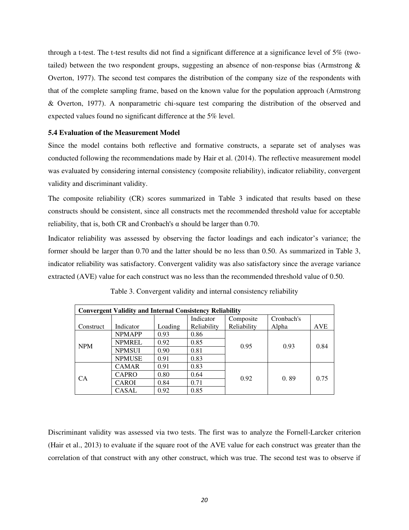through a t-test. The t-test results did not find a significant difference at a significance level of 5% (twotailed) between the two respondent groups, suggesting an absence of non-response bias [\(Armstrong &](#page-28-13)  [Overton, 1977\)](#page-28-13). The second test compares the distribution of the company size of the respondents with that of the complete sampling frame, based on the known value for the population approach [\(Armstrong](#page-28-13)  [& Overton, 1977\)](#page-28-13). A nonparametric chi-square test comparing the distribution of the observed and expected values found no significant difference at the 5% level.

## **5.4 Evaluation of the Measurement Model**

Since the model contains both reflective and formative constructs, a separate set of analyses was conducted following the recommendations made by [Hair et al. \(2014\).](#page-30-18) The reflective measurement model was evaluated by considering internal consistency (composite reliability), indicator reliability, convergent validity and discriminant validity.

The composite reliability (CR) scores summarized in Table 3 indicated that results based on these constructs should be consistent, since all constructs met the recommended threshold value for acceptable reliability, that is, both CR and Cronbach's  $\alpha$  should be larger than 0.70.

Indicator reliability was assessed by observing the factor loadings and each indicator's variance; the former should be larger than 0.70 and the latter should be no less than 0.50. As summarized in Table 3, indicator reliability was satisfactory. Convergent validity was also satisfactory since the average variance extracted (AVE) value for each construct was no less than the recommended threshold value of 0.50.

| <b>Convergent Validity and Internal Consistency Reliability</b> |               |         |             |             |            |            |  |
|-----------------------------------------------------------------|---------------|---------|-------------|-------------|------------|------------|--|
|                                                                 |               |         | Indicator   | Composite   | Cronbach's |            |  |
| Construct                                                       | Indicator     | Loading | Reliability | Reliability | Alpha      | <b>AVE</b> |  |
| <b>NPM</b>                                                      | <b>NPMAPP</b> | 0.93    | 0.86        |             | 0.93       |            |  |
|                                                                 | <b>NPMREL</b> | 0.92    | 0.85        | 0.95        |            | 0.84       |  |
|                                                                 | <b>NPMSUI</b> | 0.90    | 0.81        |             |            |            |  |
|                                                                 | <b>NPMUSE</b> | 0.91    | 0.83        |             |            |            |  |
| <b>CA</b>                                                       | <b>CAMAR</b>  | 0.91    | 0.83        |             | 0.89       |            |  |
|                                                                 | <b>CAPRO</b>  | 0.80    | 0.64        |             |            |            |  |
|                                                                 | <b>CAROI</b>  | 0.84    | 0.71        | 0.92        |            | 0.75       |  |
|                                                                 | CASAL         | 0.92    | 0.85        |             |            |            |  |

Table 3. Convergent validity and internal consistency reliability

Discriminant validity was assessed via two tests. The first was to analyze the Fornell-Larcker criterion [\(Hair et al., 2013\)](#page-30-19) to evaluate if the square root of the AVE value for each construct was greater than the correlation of that construct with any other construct, which was true. The second test was to observe if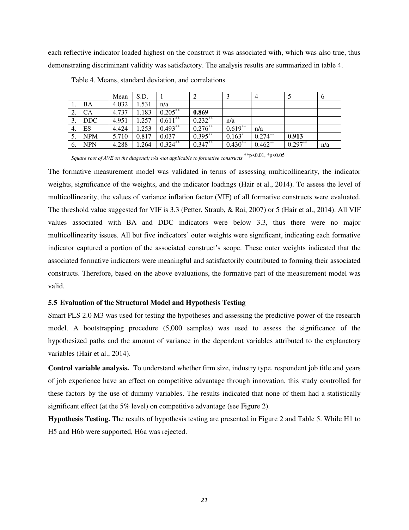each reflective indicator loaded highest on the construct it was associated with, which was also true, thus demonstrating discriminant validity was satisfactory. The analysis results are summarized in table 4.

|    |            | Mean  | S.D.  |            |            |           | 4          |           | $\sigma$ |
|----|------------|-------|-------|------------|------------|-----------|------------|-----------|----------|
|    | BA         | 4.032 | 1.531 | n/a        |            |           |            |           |          |
| 2. | CA         | 4.737 | 1.183 | $0.205***$ | 0.869      |           |            |           |          |
|    | $3.$ DDC   | 4.951 | 1.257 | $0.611**$  | $0.232**$  | n/a       |            |           |          |
| 4. | ES         | 4.424 | 1.253 | $0.493**$  | $0.276***$ | $0.619**$ | n/a        |           |          |
|    | <b>NPM</b> | 5.710 | 0.817 | 0.037      | $0.395***$ | $0.163*$  | $0.274***$ | 0.913     |          |
| 6. | <b>NPN</b> | 4.288 | 1.264 | $0.324***$ | $0.347**$  | $0.430**$ | $0.462**$  | $0.297**$ | n/a      |

Table 4. Means, standard deviation, and correlations

*Square root of AVE on the diagonal; n/a -not applicable to formative constructs* \*\*p<0.01, \*p<0.05

The formative measurement model was validated in terms of assessing multicollinearity, the indicator weights, significance of the weights, and the indicator loadings [\(Hair et al., 2014\)](#page-30-18). To assess the level of multicollinearity, the values of variance inflation factor (VIF) of all formative constructs were evaluated. The threshold value suggested for VIF is 3.3 [\(Petter, Straub, & Rai, 2007\)](#page-32-20) or 5 [\(Hair et al., 2014\)](#page-30-18). All VIF values associated with BA and DDC indicators were below 3.3, thus there were no major multicollinearity issues. All but five indicators' outer weights were significant, indicating each formative indicator captured a portion of the associated construct's scope. These outer weights indicated that the associated formative indicators were meaningful and satisfactorily contributed to forming their associated constructs. Therefore, based on the above evaluations, the formative part of the measurement model was valid.

#### **5.5 Evaluation of the Structural Model and Hypothesis Testing**

Smart PLS 2.0 M3 was used for testing the hypotheses and assessing the predictive power of the research model. A bootstrapping procedure (5,000 samples) was used to assess the significance of the hypothesized paths and the amount of variance in the dependent variables attributed to the explanatory variables [\(Hair et al., 2014\)](#page-30-18).

**Control variable analysis.** To understand whether firm size, industry type, respondent job title and years of job experience have an effect on competitive advantage through innovation, this study controlled for these factors by the use of dummy variables. The results indicated that none of them had a statistically significant effect (at the 5% level) on competitive advantage (see Figure 2).

**Hypothesis Testing.** The results of hypothesis testing are presented in Figure 2 and Table 5. While H1 to H5 and H6b were supported, H6a was rejected.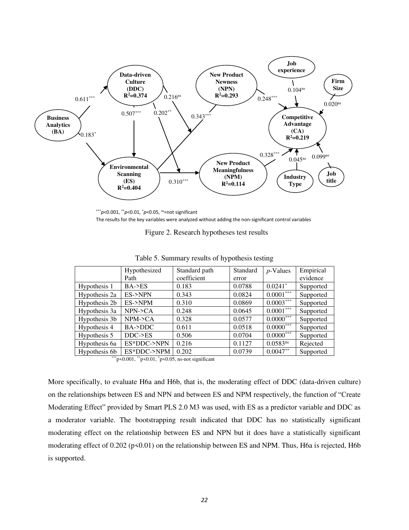

<sup>\*\*\*</sup>*p*<0.001, \*\**p*<0.01, \**p*<0.05, ns=not significant The results for the key variables were analyzed without adding the non-significant control variables

Figure 2. Research hypotheses test results

|               | Hypothesized         | Standard path | Standard | $p$ -Values           | Empirical |  |  |
|---------------|----------------------|---------------|----------|-----------------------|-----------|--|--|
|               | Path                 | coefficient   | error    |                       | evidence  |  |  |
| Hypothesis 1  | $BA$ ->ES            | 0.183         | 0.0788   | $0.0241$ <sup>*</sup> | Supported |  |  |
| Hypothesis 2a | ES->NPN              | 0.343         | 0.0824   | $0.0001***$           | Supported |  |  |
| Hypothesis 2b | ES->NPM              | 0.310         | 0.0869   | $0.0003***$           | Supported |  |  |
| Hypothesis 3a | $NPN-CA$             | 0.248         | 0.0645   | $0.0001***$           | Supported |  |  |
| Hypothesis 3b | $NPM$ -> $CA$        | 0.328         | 0.0577   | $0.0000***$           | Supported |  |  |
| Hypothesis 4  | BA->DDC              | 0.611         | 0.0518   | $0.0000***$           | Supported |  |  |
| Hypothesis 5  | $DDC \rightarrow ES$ | 0.506         | 0.0704   | $0.0000***$           | Supported |  |  |
| Hypothesis 6a | ES*DDC->NPN          | 0.216         | 0.1127   | $0.0583^{ns}$         | Rejected  |  |  |
| Hypothesis 6b | ES*DDC->NPM          | 0.202         | 0.0739   | $0.0047**$            | Supported |  |  |
| 含定定<br>.      |                      |               |          |                       |           |  |  |

Table 5. Summary results of hypothesis testing

 $*p$ <0.001,  $*p$ <0.01,  $*p$ <0.05, ns-not significant

More specifically, to evaluate H6a and H6b, that is, the moderating effect of DDC (data-driven culture) on the relationships between ES and NPN and between ES and NPM respectively, the function of "Create Moderating Effect" provided by Smart PLS 2.0 M3 was used, with ES as a predictor variable and DDC as a moderator variable. The bootstrapping result indicated that DDC has no statistically significant moderating effect on the relationship between ES and NPN but it does have a statistically significant moderating effect of 0.202 (p<0.01) on the relationship between ES and NPM. Thus, H6a is rejected, H6b is supported.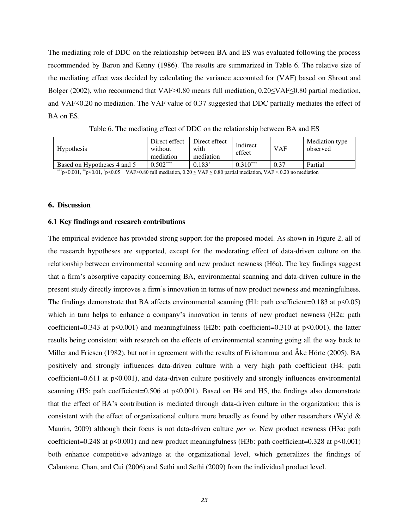The mediating role of DDC on the relationship between BA and ES was evaluated following the process recommended by [Baron and Kenny \(1986\).](#page-28-14) The results are summarized in Table 6. The relative size of the mediating effect was decided by calculating the variance accounted for (VAF) based on [Shrout and](#page-32-21)  Bolger (2002), who recommend that VAF>0.80 means full mediation, 0.20≤VAF≤0.80 partial mediation, and VAF<0.20 no mediation. The VAF value of 0.37 suggested that DDC partially mediates the effect of BA on ES.

| <b>Hypothesis</b>           | Direct effect<br>without<br>mediation | Direct effect<br>with<br>mediation | Indirect<br>effect | <b>VAF</b> | Mediation type<br>observed |
|-----------------------------|---------------------------------------|------------------------------------|--------------------|------------|----------------------------|
| Based on Hypotheses 4 and 5 | $0.502***$                            | $0.183*$                           | $0.310***$         | 0.37       | Partial                    |

Table 6. The mediating effect of DDC on the relationship between BA and ES

 $*p$ <0.001, \*\*p<0.01, \*p<0.05 VAF>0.80 full mediation, 0.20 ≤ VAF ≤ 0.80 partial mediation, VAF < 0.20 no mediation

## **6. Discussion**

#### **6.1 Key findings and research contributions**

The empirical evidence has provided strong support for the proposed model. As shown in Figure 2, all of the research hypotheses are supported, except for the moderating effect of data-driven culture on the relationship between environmental scanning and new product newness (H6a). The key findings suggest that a firm's absorptive capacity concerning BA, environmental scanning and data-driven culture in the present study directly improves a firm's innovation in terms of new product newness and meaningfulness. The findings demonstrate that BA affects environmental scanning  $(H1:$  path coefficient=0.183 at  $p<0.05$ ) which in turn helps to enhance a company's innovation in terms of new product newness (H2a: path coefficient=0.343 at p<0.001) and meaningfulness (H2b: path coefficient=0.310 at p<0.001), the latter results being consistent with research on the effects of environmental scanning going all the way back to [Miller and Friesen \(1982\),](#page-31-13) but not in agreement with the results of [Frishammar and Åke Hörte \(2005\).](#page-29-22) BA positively and strongly influences data-driven culture with a very high path coefficient (H4: path coefficient=0.611 at  $p<0.001$ , and data-driven culture positively and strongly influences environmental scanning (H5: path coefficient=0.506 at p<0.001). Based on H4 and H5, the findings also demonstrate that the effect of BA's contribution is mediated through data-driven culture in the organization; this is consistent with the effect of organizational culture more broadly as found by other researchers [\(Wyld &](#page-33-8)  [Maurin, 2009\)](#page-33-8) although their focus is not data-driven culture *per se*. New product newness (H3a: path coefficient=0.248 at p<0.001) and new product meaningfulness (H3b: path coefficient=0.328 at p<0.001) both enhance competitive advantage at the organizational level, which generalizes the findings of [Calantone, Chan, and Cui \(2006\)](#page-28-15) and [Sethi and Sethi \(2009\)](#page-32-15) from the individual product level.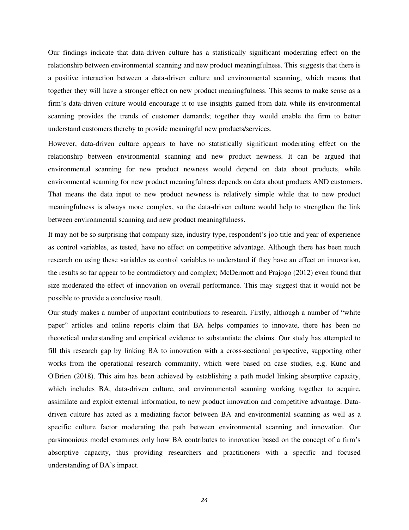Our findings indicate that data-driven culture has a statistically significant moderating effect on the relationship between environmental scanning and new product meaningfulness. This suggests that there is a positive interaction between a data-driven culture and environmental scanning, which means that together they will have a stronger effect on new product meaningfulness. This seems to make sense as a firm's data-driven culture would encourage it to use insights gained from data while its environmental scanning provides the trends of customer demands; together they would enable the firm to better understand customers thereby to provide meaningful new products/services.

However, data-driven culture appears to have no statistically significant moderating effect on the relationship between environmental scanning and new product newness. It can be argued that environmental scanning for new product newness would depend on data about products, while environmental scanning for new product meaningfulness depends on data about products AND customers. That means the data input to new product newness is relatively simple while that to new product meaningfulness is always more complex, so the data-driven culture would help to strengthen the link between environmental scanning and new product meaningfulness.

It may not be so surprising that company size, industry type, respondent's job title and year of experience as control variables, as tested, have no effect on competitive advantage. Although there has been much research on using these variables as control variables to understand if they have an effect on innovation, the results so far appear to be contradictory and complex; [McDermott and Prajogo \(2012\)](#page-31-20) even found that size moderated the effect of innovation on overall performance. This may suggest that it would not be possible to provide a conclusive result.

Our study makes a number of important contributions to research. Firstly, although a number of "white paper" articles and online reports claim that BA helps companies to innovate, there has been no theoretical understanding and empirical evidence to substantiate the claims. Our study has attempted to fill this research gap by linking BA to innovation with a cross-sectional perspective, supporting other works from the operational research community, which were based on case studies, e.g. Kunc and O'Brien (2018). This aim has been achieved by establishing a path model linking absorptive capacity, which includes BA, data-driven culture, and environmental scanning working together to acquire, assimilate and exploit external information, to new product innovation and competitive advantage. Datadriven culture has acted as a mediating factor between BA and environmental scanning as well as a specific culture factor moderating the path between environmental scanning and innovation. Our parsimonious model examines only how BA contributes to innovation based on the concept of a firm's absorptive capacity, thus providing researchers and practitioners with a specific and focused understanding of BA's impact.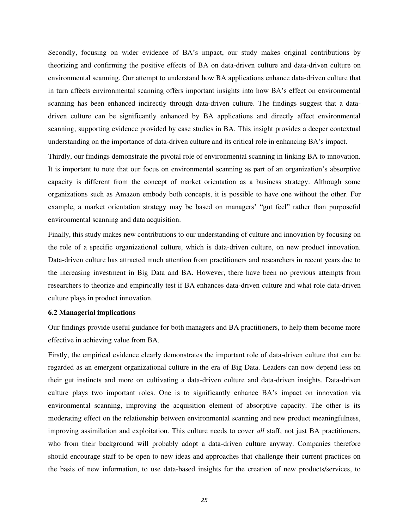Secondly, focusing on wider evidence of BA's impact, our study makes original contributions by theorizing and confirming the positive effects of BA on data-driven culture and data-driven culture on environmental scanning. Our attempt to understand how BA applications enhance data-driven culture that in turn affects environmental scanning offers important insights into how BA's effect on environmental scanning has been enhanced indirectly through data-driven culture. The findings suggest that a datadriven culture can be significantly enhanced by BA applications and directly affect environmental scanning, supporting evidence provided by case studies in BA. This insight provides a deeper contextual understanding on the importance of data-driven culture and its critical role in enhancing BA's impact.

Thirdly, our findings demonstrate the pivotal role of environmental scanning in linking BA to innovation. It is important to note that our focus on environmental scanning as part of an organization's absorptive capacity is different from the concept of market orientation as a business strategy. Although some organizations such as Amazon embody both concepts, it is possible to have one without the other. For example, a market orientation strategy may be based on managers' "gut feel" rather than purposeful environmental scanning and data acquisition.

Finally, this study makes new contributions to our understanding of culture and innovation by focusing on the role of a specific organizational culture, which is data-driven culture, on new product innovation. Data-driven culture has attracted much attention from practitioners and researchers in recent years due to the increasing investment in Big Data and BA. However, there have been no previous attempts from researchers to theorize and empirically test if BA enhances data-driven culture and what role data-driven culture plays in product innovation.

## **6.2 Managerial implications**

Our findings provide useful guidance for both managers and BA practitioners, to help them become more effective in achieving value from BA.

Firstly, the empirical evidence clearly demonstrates the important role of data-driven culture that can be regarded as an emergent organizational culture in the era of Big Data. Leaders can now depend less on their gut instincts and more on cultivating a data-driven culture and data-driven insights. Data-driven culture plays two important roles. One is to significantly enhance BA's impact on innovation via environmental scanning, improving the acquisition element of absorptive capacity. The other is its moderating effect on the relationship between environmental scanning and new product meaningfulness, improving assimilation and exploitation. This culture needs to cover *all* staff, not just BA practitioners, who from their background will probably adopt a data-driven culture anyway. Companies therefore should encourage staff to be open to new ideas and approaches that challenge their current practices on the basis of new information, to use data-based insights for the creation of new products/services, to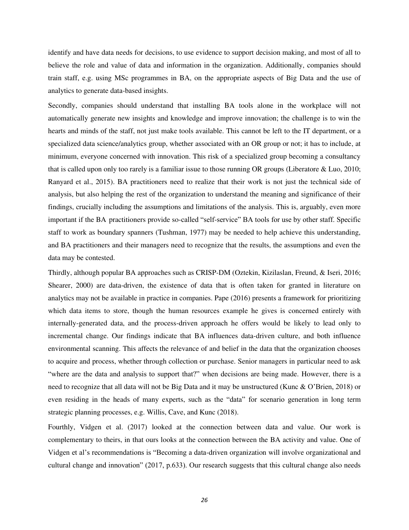identify and have data needs for decisions, to use evidence to support decision making, and most of all to believe the role and value of data and information in the organization. Additionally, companies should train staff, e.g. using MSc programmes in BA, on the appropriate aspects of Big Data and the use of analytics to generate data-based insights.

Secondly, companies should understand that installing BA tools alone in the workplace will not automatically generate new insights and knowledge and improve innovation; the challenge is to win the hearts and minds of the staff, not just make tools available. This cannot be left to the IT department, or a specialized data science/analytics group, whether associated with an OR group or not; it has to include, at minimum, everyone concerned with innovation. This risk of a specialized group becoming a consultancy that is called upon only too rarely is a familiar issue to those running OR groups [\(Liberatore & Luo, 2010;](#page-31-0) [Ranyard et al., 2015\)](#page-32-0). BA practitioners need to realize that their work is not just the technical side of analysis, but also helping the rest of the organization to understand the meaning and significance of their findings, crucially including the assumptions and limitations of the analysis. This is, arguably, even more important if the BA practitioners provide so-called "self-service" BA tools for use by other staff. Specific staff to work as boundary spanners (Tushman, 1977) may be needed to help achieve this understanding, and BA practitioners and their managers need to recognize that the results, the assumptions and even the data may be contested.

Thirdly, although popular BA approaches such as CRISP-DM [\(Oztekin, Kizilaslan, Freund, & Iseri, 2016;](#page-31-21) [Shearer, 2000\)](#page-32-22) are data-driven, the existence of data that is often taken for granted in literature on analytics may not be available in practice in companies. [Pape \(2016\)](#page-32-5) presents a framework for prioritizing which data items to store, though the human resources example he gives is concerned entirely with internally-generated data, and the process-driven approach he offers would be likely to lead only to incremental change. Our findings indicate that BA influences data-driven culture, and both influence environmental scanning. This affects the relevance of and belief in the data that the organization chooses to acquire and process, whether through collection or purchase. Senior managers in particular need to ask "where are the data and analysis to support that?" when decisions are being made. However, there is a need to recognize that all data will not be Big Data and it may be unstructured ([Kunc & O'Brien, 2018](#page-31-11)) or even residing in the heads of many experts, such as the "data" for scenario generation in long term strategic planning processes, e.g. [Willis, Cave, and Kunc \(2018\).](#page-33-9)

Fourthly, [Vidgen et al. \(2017\)](#page-33-1) looked at the connection between data and value. Our work is complementary to theirs, in that ours looks at the connection between the BA activity and value. One of Vidgen et al's recommendations is "Becoming a data-driven organization will involve organizational and cultural change and innovation" (2017, p.633). Our research suggests that this cultural change also needs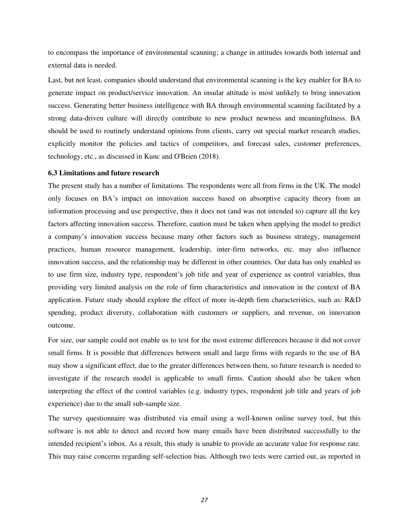to encompass the importance of environmental scanning; a change in attitudes towards both internal and external data is needed.

Last, but not least, companies should understand that environmental scanning is the key enabler for BA to generate impact on product/service innovation. An insular attitude is most unlikely to bring innovation success. Generating better business intelligence with BA through environmental scanning facilitated by a strong data-driven culture will directly contribute to new product newness and meaningfulness. BA should be used to routinely understand opinions from clients, carry out special market research studies, explicitly monitor the policies and tactics of competitors, and forecast sales, customer preferences, technology, etc., as discussed in Kunc and O'Brien (2018).

## **6.3 Limitations and future research**

The present study has a number of limitations. The respondents were all from firms in the UK. The model only focuses on BA's impact on innovation success based on absorptive capacity theory from an information processing and use perspective, thus it does not (and was not intended to) capture all the key factors affecting innovation success. Therefore, caution must be taken when applying the model to predict a company's innovation success because many other factors such as business strategy, management practices, human resource management, leadership, inter-firm networks, etc. may also influence innovation success, and the relationship may be different in other countries. Our data has only enabled us to use firm size, industry type, respondent's job title and year of experience as control variables, thus providing very limited analysis on the role of firm characteristics and innovation in the context of BA application. Future study should explore the effect of more in-depth firm characteristics, such as: R&D spending, product diversity, collaboration with customers or suppliers, and revenue, on innovation outcome.

For size, our sample could not enable us to test for the most extreme differences because it did not cover small firms. It is possible that differences between small and large firms with regards to the use of BA may show a significant effect, due to the greater differences between them, so future research is needed to investigate if the research model is applicable to small firms. Caution should also be taken when interpreting the effect of the control variables (e.g. industry types, respondent job title and years of job experience) due to the small sub-sample size.

The survey questionnaire was distributed via email using a well-known online survey tool, but this software is not able to detect and record how many emails have been distributed successfully to the intended recipient's inbox. As a result, this study is unable to provide an accurate value for response rate. This may raise concerns regarding self-selection bias. Although two tests were carried out, as reported in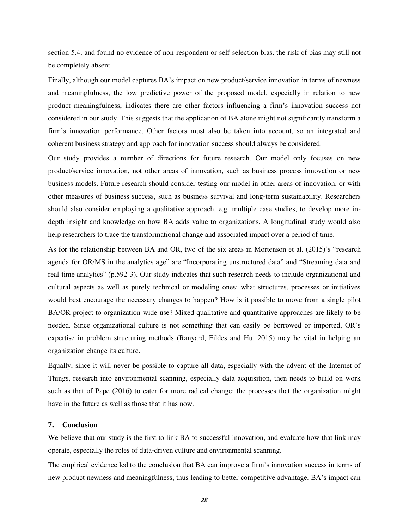section 5.4, and found no evidence of non-respondent or self-selection bias, the risk of bias may still not be completely absent.

Finally, although our model captures BA's impact on new product/service innovation in terms of newness and meaningfulness, the low predictive power of the proposed model, especially in relation to new product meaningfulness, indicates there are other factors influencing a firm's innovation success not considered in our study. This suggests that the application of BA alone might not significantly transform a firm's innovation performance. Other factors must also be taken into account, so an integrated and coherent business strategy and approach for innovation success should always be considered.

Our study provides a number of directions for future research. Our model only focuses on new product/service innovation, not other areas of innovation, such as business process innovation or new business models. Future research should consider testing our model in other areas of innovation, or with other measures of business success, such as business survival and long-term sustainability. Researchers should also consider employing a qualitative approach, e.g. multiple case studies, to develop more indepth insight and knowledge on how BA adds value to organizations. A longitudinal study would also help researchers to trace the transformational change and associated impact over a period of time.

As for the relationship between BA and OR, two of the six areas in [Mortenson et al. \(2015\)](#page-31-1)'s "research agenda for OR/MS in the analytics age" are "Incorporating unstructured data" and "Streaming data and real-time analytics" (p.592-3). Our study indicates that such research needs to include organizational and cultural aspects as well as purely technical or modeling ones: what structures, processes or initiatives would best encourage the necessary changes to happen? How is it possible to move from a single pilot BA/OR project to organization-wide use? Mixed qualitative and quantitative approaches are likely to be needed. Since organizational culture is not something that can easily be borrowed or imported, OR's expertise in problem structuring methods (Ranyard, Fildes and Hu, 2015) may be vital in helping an organization change its culture.

Equally, since it will never be possible to capture all data, especially with the advent of the Internet of Things, research into environmental scanning, especially data acquisition, then needs to build on work such as that of [Pape \(2016\)](#page-32-5) to cater for more radical change: the processes that the organization might have in the future as well as those that it has now.

## **7. Conclusion**

We believe that our study is the first to link BA to successful innovation, and evaluate how that link may operate, especially the roles of data-driven culture and environmental scanning.

The empirical evidence led to the conclusion that BA can improve a firm's innovation success in terms of new product newness and meaningfulness, thus leading to better competitive advantage. BA's impact can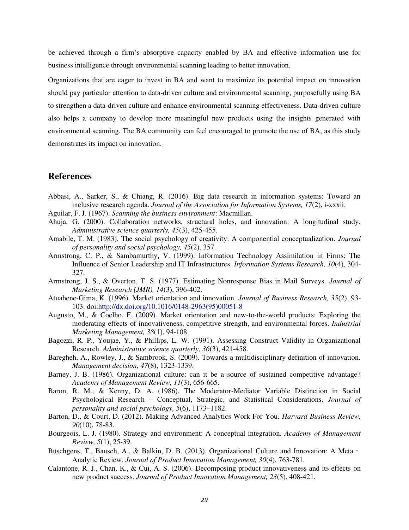be achieved through a firm's absorptive capacity enabled by BA and effective information use for business intelligence through environmental scanning leading to better innovation.

Organizations that are eager to invest in BA and want to maximize its potential impact on innovation should pay particular attention to data-driven culture and environmental scanning, purposefully using BA to strengthen a data-driven culture and enhance environmental scanning effectiveness. Data-driven culture also helps a company to develop more meaningful new products using the insights generated with environmental scanning. The BA community can feel encouraged to promote the use of BA, as this study demonstrates its impact on innovation.

## **References**

- <span id="page-28-4"></span>Abbasi, A., Sarker, S., & Chiang, R. (2016). Big data research in information systems: Toward an inclusive research agenda. *Journal of the Association for Information Systems, 17*(2), i-xxxii.
- <span id="page-28-2"></span>Aguilar, F. J. (1967). *Scanning the business environment*: Macmillan.
- <span id="page-28-9"></span>Ahuja, G. (2000). Collaboration networks, structural holes, and innovation: A longitudinal study. *Administrative science quarterly, 45*(3), 425-455.
- <span id="page-28-11"></span>Amabile, T. M. (1983). The social psychology of creativity: A componential conceptualization. *Journal of personality and social psychology, 45*(2), 357.
- <span id="page-28-10"></span>Armstrong, C. P., & Sambamurthy, V. (1999). Information Technology Assimilation in Firms: The Influence of Senior Leadership and IT Infrastructures. *Information Systems Research, 10*(4), 304- 327.
- <span id="page-28-13"></span>Armstrong, J. S., & Overton, T. S. (1977). Estimating Nonresponse Bias in Mail Surveys. *Journal of Marketing Research (JMR), 14*(3), 396-402.
- <span id="page-28-6"></span>Atuahene-Gima, K. (1996). Market orientation and innovation. *Journal of Business Research, 35*(2), 93- 103. doi[:http://dx.doi.org/10.1016/0148-2963\(95\)00051-8](http://dx.doi.org/10.1016/0148-2963(95)00051-8)
- <span id="page-28-7"></span>Augusto, M., & Coelho, F. (2009). Market orientation and new-to-the-world products: Exploring the moderating effects of innovativeness, competitive strength, and environmental forces. *Industrial Marketing Management, 38*(1), 94-108.
- <span id="page-28-12"></span>Bagozzi, R. P., Youjae, Y., & Phillips, L. W. (1991). Assessing Construct Validity in Organizational Research. *Administrative science quarterly, 36*(3), 421-458.
- <span id="page-28-0"></span>Baregheh, A., Rowley, J., & Sambrook, S. (2009). Towards a multidisciplinary definition of innovation. *Management decision, 47*(8), 1323-1339.
- <span id="page-28-3"></span>Barney, J. B. (1986). Organizational culture: can it be a source of sustained competitive advantage? *Academy of Management Review, 11*(3), 656-665.
- <span id="page-28-14"></span>Baron, R. M., & Kenny, D. A. (1986). The Moderator-Mediator Variable Distinction in Social Psychological Research – Conceptual, Strategic, and Statistical Considerations. *Journal of personality and social psychology, 5*(6), 1173–1182.
- <span id="page-28-1"></span>Barton, D., & Court, D. (2012). Making Advanced Analytics Work For You. *Harvard Business Review, 90*(10), 78-83.
- <span id="page-28-5"></span>Bourgeois, L. J. (1980). Strategy and environment: A conceptual integration. *Academy of Management Review, 5*(1), 25-39.
- <span id="page-28-8"></span>Büschgens, T., Bausch, A., & Balkin, D. B. (2013). Organizational Culture and Innovation: A Meta – Analytic Review. *Journal of Product Innovation Management, 30*(4), 763-781.
- <span id="page-28-15"></span>Calantone, R. J., Chan, K., & Cui, A. S. (2006). Decomposing product innovativeness and its effects on new product success. *Journal of Product Innovation Management, 23*(5), 408-421.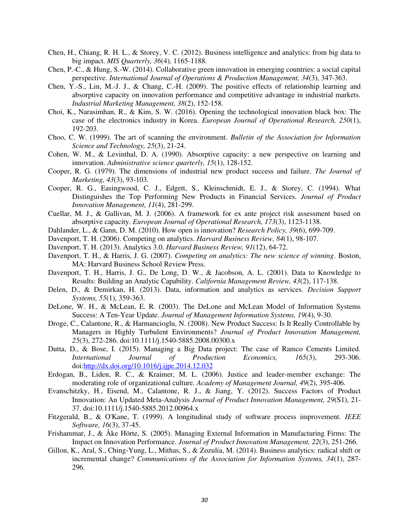- <span id="page-29-0"></span>Chen, H., Chiang, R. H. L., & Storey, V. C. (2012). Business intelligence and analytics: from big data to big impact. *MIS Quarterly, 36*(4), 1165-1188.
- <span id="page-29-19"></span>Chen, P.-C., & Hung, S.-W. (2014). Collaborative green innovation in emerging countries: a social capital perspective. *International Journal of Operations & Production Management, 34*(3), 347-363.
- <span id="page-29-18"></span>Chen, Y.-S., Lin, M.-J. J., & Chang, C.-H. (2009). The positive effects of relationship learning and absorptive capacity on innovation performance and competitive advantage in industrial markets. *Industrial Marketing Management, 38*(2), 152-158.
- <span id="page-29-1"></span>Choi, K., Narasimhan, R., & Kim, S. W. (2016). Opening the technological innovation black box: The case of the electronics industry in Korea. *European Journal of Operational Research, 250*(1), 192-203.
- <span id="page-29-5"></span>Choo, C. W. (1999). The art of scanning the environment. *Bulletin of the Association for Information Science and Technology, 25*(3), 21-24.
- <span id="page-29-6"></span>Cohen, W. M., & Levinthal, D. A. (1990). Absorptive capacity: a new perspective on learning and innovation. *Administrative science quarterly, 15*(1), 128-152.
- <span id="page-29-14"></span>Cooper, R. G. (1979). The dimensions of industrial new product success and failure. *The Journal of Marketing, 43*(3), 93-103.
- <span id="page-29-12"></span>Cooper, R. G., Easingwood, C. J., Edgett, S., Kleinschmidt, E. J., & Storey, C. (1994). What Distinguishes the Top Performing New Products in Financial Services. *Journal of Product Innovation Management, 11*(4), 281-299.
- <span id="page-29-13"></span>Cuellar, M. J., & Gallivan, M. J. (2006). A framework for ex ante project risk assessment based on absorptive capacity. *European Journal of Operational Research, 173*(3), 1123-1138.
- <span id="page-29-17"></span>Dahlander, L., & Gann, D. M. (2010). How open is innovation? *Research Policy, 39*(6), 699-709.
- <span id="page-29-11"></span>Davenport, T. H. (2006). Competing on analytics. *Harvard Business Review, 84*(1), 98-107.
- <span id="page-29-8"></span>Davenport, T. H. (2013). Analytics 3.0. *Harvard Business Review, 91*(12), 64-72.
- <span id="page-29-7"></span>Davenport, T. H., & Harris, J. G. (2007). *Competing on analytics: The new science of winning*. Boston, MA: Harvard Business School Review Press.
- <span id="page-29-10"></span>Davenport, T. H., Harris, J. G., De Long, D. W., & Jacobson, A. L. (2001). Data to Knowledge to Results: Building an Analytic Capability. *California Management Review, 43*(2), 117-138.
- <span id="page-29-21"></span>Delen, D., & Demirkan, H. (2013). Data, information and analytics as services. *Decision Support Systems, 55*(1), 359-363.
- <span id="page-29-16"></span>DeLone, W. H., & McLean, E. R. (2003). The DeLone and McLean Model of Information Systems Success: A Ten-Year Update. *Journal of Management Information Systems, 19*(4), 9-30.
- <span id="page-29-15"></span>Droge, C., Calantone, R., & Harmancioglu, N. (2008). New Product Success: Is It Really Controllable by Managers in Highly Turbulent Environments? *Journal of Product Innovation Management, 25*(3), 272-286. doi:10.1111/j.1540-5885.2008.00300.x
- <span id="page-29-3"></span>Dutta, D., & Bose, I. (2015). Managing a Big Data project: The case of Ramco Cements Limited. *International Journal of Production Economics, 165*(3), 293-306. doi[:http://dx.doi.org/10.1016/j.ijpe.2014.12.032](http://dx.doi.org/10.1016/j.ijpe.2014.12.032)
- <span id="page-29-9"></span>Erdogan, B., Liden, R. C., & Kraimer, M. L. (2006). Justice and leader-member exchange: The moderating role of organizational culture. *Academy of Management Journal, 49*(2), 395-406.
- <span id="page-29-20"></span>Evanschitzky, H., Eisend, M., Calantone, R. J., & Jiang, Y. (2012). Success Factors of Product Innovation: An Updated Meta-Analysis *Journal of Product Innovation Management, 29*(S1), 21- 37. doi:10.1111/j.1540-5885.2012.00964.x
- <span id="page-29-2"></span>Fitzgerald, B., & O'Kane, T. (1999). A longitudinal study of software process improvement. *IEEE Software, 16*(3), 37-45.
- <span id="page-29-22"></span>Frishammar, J., & Åke Hörte, S. (2005). Managing External Information in Manufacturing Firms: The Impact on Innovation Performance. *Journal of Product Innovation Management, 22*(3), 251-266.
- <span id="page-29-4"></span>Gillon, K., Aral, S., Ching-Yung, L., Mithas, S., & Zozulia, M. (2014). Business analytics: radical shift or incremental change? *Communications of the Association for Information Systems, 34*(1), 287- 296.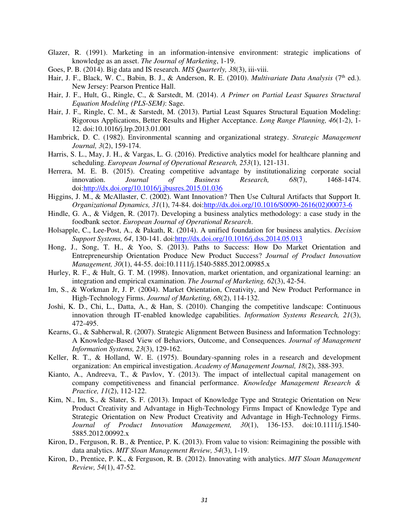- <span id="page-30-7"></span>Glazer, R. (1991). Marketing in an information-intensive environment: strategic implications of knowledge as an asset. *The Journal of Marketing*, 1-19.
- <span id="page-30-1"></span>Goes, P. B. (2014). Big data and IS research. *MIS Quarterly, 38*(3), iii-viii.
- <span id="page-30-20"></span>Hair, J. F., Black, W. C., Babin, B. J., & Anderson, R. E. (2010). *Multivariate Data Analysis* (7<sup>th</sup> ed.). New Jersey: Pearson Prentice Hall.
- <span id="page-30-18"></span>Hair, J. F., Hult, G., Ringle, C., & Sarstedt, M. (2014). *A Primer on Partial Least Squares Structural Equation Modeling (PLS-SEM)*: Sage.
- <span id="page-30-19"></span>Hair, J. F., Ringle, C. M., & Sarstedt, M. (2013). Partial Least Squares Structural Equation Modeling: Rigorous Applications, Better Results and Higher Acceptance. *Long Range Planning, 46*(1-2), 1- 12. doi:10.1016/j.lrp.2013.01.001
- <span id="page-30-9"></span>Hambrick, D. C. (1982). Environmental scanning and organizational strategy. *Strategic Management Journal, 3*(2), 159-174.
- <span id="page-30-8"></span>Harris, S. L., May, J. H., & Vargas, L. G. (2016). Predictive analytics model for healthcare planning and scheduling. *European Journal of Operational Research, 253*(1), 121-131.
- <span id="page-30-13"></span>Herrera, M. E. B. (2015). Creating competitive advantage by institutionalizing corporate social innovation. *Journal of Business Research, 68*(7), 1468-1474. doi[:http://dx.doi.org/10.1016/j.jbusres.2015.01.036](http://dx.doi.org/10.1016/j.jbusres.2015.01.036)
- <span id="page-30-6"></span>Higgins, J. M., & McAllaster, C. (2002). Want Innovation? Then Use Cultural Artifacts that Support It. *Organizational Dynamics, 31*(1), 74-84. doi[:http://dx.doi.org/10.1016/S0090-2616\(02\)00073-6](http://dx.doi.org/10.1016/S0090-2616(02)00073-6)
- <span id="page-30-2"></span>Hindle, G. A., & Vidgen, R. (2017). Developing a business analytics methodology: a case study in the foodbank sector. *European Journal of Operational Research*.
- <span id="page-30-4"></span>Holsapple, C., Lee-Post, A., & Pakath, R. (2014). A unified foundation for business analytics. *Decision Support Systems, 64*, 130-141. doi[:http://dx.doi.org/10.1016/j.dss.2014.05.013](http://dx.doi.org/10.1016/j.dss.2014.05.013)
- <span id="page-30-12"></span>Hong, J., Song, T. H., & Yoo, S. (2013). Paths to Success: How Do Market Orientation and Entrepreneurship Orientation Produce New Product Success? *Journal of Product Innovation Management, 30*(1), 44-55. doi:10.1111/j.1540-5885.2012.00985.x
- <span id="page-30-11"></span>Hurley, R. F., & Hult, G. T. M. (1998). Innovation, market orientation, and organizational learning: an integration and empirical examination. *The Journal of Marketing, 62*(3), 42-54.
- <span id="page-30-14"></span>Im, S., & Workman Jr, J. P. (2004). Market Orientation, Creativity, and New Product Performance in High-Technology Firms. *Journal of Marketing, 68*(2), 114-132.
- <span id="page-30-0"></span>Joshi, K. D., Chi, L., Datta, A., & Han, S. (2010). Changing the competitive landscape: Continuous innovation through IT-enabled knowledge capabilities. *Information Systems Research, 21*(3), 472-495.
- <span id="page-30-16"></span>Kearns, G., & Sabherwal, R. (2007). Strategic Alignment Between Business and Information Technology: A Knowledge-Based View of Behaviors, Outcome, and Consequences. *Journal of Management Information Systems, 23*(3), 129-162.
- <span id="page-30-10"></span>Keller, R. T., & Holland, W. E. (1975). Boundary-spanning roles in a research and development organization: An empirical investigation. *Academy of Management Journal, 18*(2), 388-393.
- <span id="page-30-17"></span>Kianto, A., Andreeva, T., & Pavlov, Y. (2013). The impact of intellectual capital management on company competitiveness and financial performance. *Knowledge Management Research & Practice, 11*(2), 112-122.
- <span id="page-30-15"></span>Kim, N., Im, S., & Slater, S. F. (2013). Impact of Knowledge Type and Strategic Orientation on New Product Creativity and Advantage in High-Technology Firms Impact of Knowledge Type and Strategic Orientation on New Product Creativity and Advantage in High-Technology Firms. *Journal of Product Innovation Management, 30*(1), 136-153. doi:10.1111/j.1540- 5885.2012.00992.x
- <span id="page-30-5"></span>Kiron, D., Ferguson, R. B., & Prentice, P. K. (2013). From value to vision: Reimagining the possible with data analytics. *MIT Sloan Management Review, 54*(3), 1-19.
- <span id="page-30-3"></span>Kiron, D., Prentice, P. K., & Ferguson, R. B. (2012). Innovating with analytics. *MIT Sloan Management Review, 54*(1), 47-52.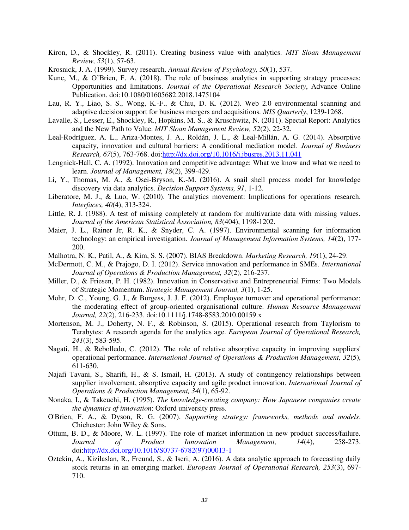- <span id="page-31-2"></span>Kiron, D., & Shockley, R. (2011). Creating business value with analytics. *MIT Sloan Management Review, 53*(1), 57-63.
- <span id="page-31-18"></span>Krosnick, J. A. (1999). Survey research. *Annual Review of Psychology, 50*(1), 537.
- <span id="page-31-11"></span>Kunc, M., & O'Brien, F. A. (2018). The role of business analytics in supporting strategy processes: Opportunities and limitations. *Journal of the Operational Research Society*, Advance Online Publication. doi:10.1080/01605682.2018.1475104
- <span id="page-31-5"></span>Lau, R. Y., Liao, S. S., Wong, K.-F., & Chiu, D. K. (2012). Web 2.0 environmental scanning and adaptive decision support for business mergers and acquisitions. *MIS Quarterly*, 1239-1268.
- <span id="page-31-3"></span>Lavalle, S., Lesser, E., Shockley, R., Hopkins, M. S., & Kruschwitz, N. (2011). Special Report: Analytics and the New Path to Value. *MIT Sloan Management Review, 52*(2), 22-32.
- <span id="page-31-15"></span>Leal-Rodríguez, A. L., Ariza-Montes, J. A., Roldán, J. L., & Leal-Millán, A. G. (2014). Absorptive capacity, innovation and cultural barriers: A conditional mediation model. *Journal of Business Research, 67*(5), 763-768. doi[:http://dx.doi.org/10.1016/j.jbusres.2013.11.041](http://dx.doi.org/10.1016/j.jbusres.2013.11.041)
- <span id="page-31-14"></span>Lengnick-Hall, C. A. (1992). Innovation and competitive advantage: What we know and what we need to learn. *Journal of Management, 18*(2), 399-429.
- <span id="page-31-4"></span>Li, Y., Thomas, M. A., & Osei-Bryson, K.-M. (2016). A snail shell process model for knowledge discovery via data analytics. *Decision Support Systems, 91*, 1-12.
- <span id="page-31-0"></span>Liberatore, M. J., & Luo, W. (2010). The analytics movement: Implications for operations research. *Interfaces, 40*(4), 313-324.
- <span id="page-31-17"></span>Little, R. J. (1988). A test of missing completely at random for multivariate data with missing values. *Journal of the American Statistical Association, 83*(404), 1198-1202.
- <span id="page-31-12"></span>Maier, J. L., Rainer Jr, R. K., & Snyder, C. A. (1997). Environmental scanning for information technology: an empirical investigation. *Journal of Management Information Systems, 14*(2), 177- 200.
- <span id="page-31-19"></span>Malhotra, N. K., Patil, A., & Kim, S. S. (2007). BIAS Breakdown. *Marketing Research, 19*(1), 24-29.
- <span id="page-31-20"></span>McDermott, C. M., & Prajogo, D. I. (2012). Service innovation and performance in SMEs. *International Journal of Operations & Production Management, 32*(2), 216-237.
- <span id="page-31-13"></span>Miller, D., & Friesen, P. H. (1982). Innovation in Conservative and Entrepreneurial Firms: Two Models of Strategic Momentum. *Strategic Management Journal, 3*(1), 1-25.
- <span id="page-31-16"></span>Mohr, D. C., Young, G. J., & Burgess, J. J. F. (2012). Employee turnover and operational performance: the moderating effect of group-oriented organisational culture. *Human Resource Management Journal, 22*(2), 216-233. doi:10.1111/j.1748-8583.2010.00159.x
- <span id="page-31-1"></span>Mortenson, M. J., Doherty, N. F., & Robinson, S. (2015). Operational research from Taylorism to Terabytes: A research agenda for the analytics age. *European Journal of Operational Research, 241*(3), 583-595.
- <span id="page-31-7"></span>Nagati, H., & Rebolledo, C. (2012). The role of relative absorptive capacity in improving suppliers' operational performance. *International Journal of Operations & Production Management, 32*(5), 611-630.
- <span id="page-31-8"></span>Najafi Tavani, S., Sharifi, H., & S. Ismail, H. (2013). A study of contingency relationships between supplier involvement, absorptive capacity and agile product innovation. *International Journal of Operations & Production Management, 34*(1), 65-92.
- <span id="page-31-9"></span>Nonaka, I., & Takeuchi, H. (1995). *The knowledge-creating company: How Japanese companies create the dynamics of innovation*: Oxford university press.
- <span id="page-31-10"></span>O'Brien, F. A., & Dyson, R. G. (2007). *Supporting strategy: frameworks, methods and models*. Chichester: John Wiley & Sons.
- <span id="page-31-6"></span>Ottum, B. D., & Moore, W. L. (1997). The role of market information in new product success/failure. *Journal of Product Innovation Management, 14*(4), 258-273. doi[:http://dx.doi.org/10.1016/S0737-6782\(97\)00013-1](http://dx.doi.org/10.1016/S0737-6782(97)00013-1)
- <span id="page-31-21"></span>Oztekin, A., Kizilaslan, R., Freund, S., & Iseri, A. (2016). A data analytic approach to forecasting daily stock returns in an emerging market. *European Journal of Operational Research, 253*(3), 697- 710.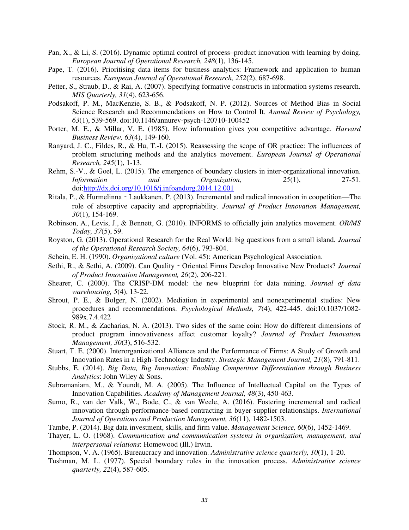- <span id="page-32-2"></span>Pan, X., & Li, S. (2016). Dynamic optimal control of process–product innovation with learning by doing. *European Journal of Operational Research, 248*(1), 136-145.
- <span id="page-32-5"></span>Pape, T. (2016). Prioritising data items for business analytics: Framework and application to human resources. *European Journal of Operational Research, 252*(2), 687-698.
- <span id="page-32-20"></span>Petter, S., Straub, D., & Rai, A. (2007). Specifying formative constructs in information systems research. *MIS Quarterly, 31*(4), 623-656.
- <span id="page-32-19"></span>Podsakoff, P. M., MacKenzie, S. B., & Podsakoff, N. P. (2012). Sources of Method Bias in Social Science Research and Recommendations on How to Control It. *Annual Review of Psychology, 63*(1), 539-569. doi:10.1146/annurev-psych-120710-100452
- <span id="page-32-10"></span>Porter, M. E., & Millar, V. E. (1985). How information gives you competitive advantage. *Harvard Business Review, 63*(4), 149-160.
- <span id="page-32-0"></span>Ranyard, J. C., Fildes, R., & Hu, T.-I. (2015). Reassessing the scope of OR practice: The influences of problem structuring methods and the analytics movement. *European Journal of Operational Research, 245*(1), 1-13.
- <span id="page-32-9"></span>Rehm, S.-V., & Goel, L. (2015). The emergence of boundary clusters in inter-organizational innovation. *Information and Organization, 25*(1), 27-51. doi[:http://dx.doi.org/10.1016/j.infoandorg.2014.12.001](http://dx.doi.org/10.1016/j.infoandorg.2014.12.001)
- <span id="page-32-11"></span>Ritala, P., & Hurmelinna‐Laukkanen, P. (2013). Incremental and radical innovation in coopetition—The role of absorptive capacity and appropriability. *Journal of Product Innovation Management, 30*(1), 154-169.
- <span id="page-32-7"></span>Robinson, A., Levis, J., & Bennett, G. (2010). INFORMS to officially join analytics movement. *OR/MS Today, 37*(5), 59.
- <span id="page-32-1"></span>Royston, G. (2013). Operational Research for the Real World: big questions from a small island. *Journal of the Operational Research Society, 64*(6), 793-804.
- <span id="page-32-8"></span>Schein, E. H. (1990). *Organizational culture* (Vol. 45): American Psychological Association.
- <span id="page-32-15"></span>Sethi, R., & Sethi, A. (2009). Can Quality - Oriented Firms Develop Innovative New Products? *Journal of Product Innovation Management, 26*(2), 206-221.
- <span id="page-32-22"></span>Shearer, C. (2000). The CRISP-DM model: the new blueprint for data mining. *Journal of data warehousing, 5*(4), 13-22.
- <span id="page-32-21"></span>Shrout, P. E., & Bolger, N. (2002). Mediation in experimental and nonexperimental studies: New procedures and recommendations. *Psychological Methods, 7*(4), 422-445. doi:10.1037/1082- 989x.7.4.422
- <span id="page-32-14"></span>Stock, R. M., & Zacharias, N. A. (2013). Two sides of the same coin: How do different dimensions of product program innovativeness affect customer loyalty? *Journal of Product Innovation Management, 30*(3), 516-532.
- <span id="page-32-18"></span>Stuart, T. E. (2000). Interorganizational Alliances and the Performance of Firms: A Study of Growth and Innovation Rates in a High-Technology Industry. *Strategic Management Journal, 21*(8), 791-811.
- <span id="page-32-3"></span>Stubbs, E. (2014). *Big Data, Big Innovation: Enabling Competitive Differentiation through Business Analytics*: John Wiley & Sons.
- <span id="page-32-17"></span>Subramaniam, M., & Youndt, M. A. (2005). The Influence of Intellectual Capital on the Types of Innovation Capabilities. *Academy of Management Journal, 48*(3), 450-463.
- <span id="page-32-16"></span>Sumo, R., van der Valk, W., Bode, C., & van Weele, A. (2016). Fostering incremental and radical innovation through performance-based contracting in buyer-supplier relationships. *International Journal of Operations and Production Management, 36*(11), 1482-1503.
- <span id="page-32-4"></span>Tambe, P. (2014). Big data investment, skills, and firm value. *Management Science, 60*(6), 1452-1469.
- <span id="page-32-6"></span>Thayer, L. O. (1968). *Communication and communication systems in organization, management, and interpersonal relations*: Homewood (Ill.) Irwin.
- <span id="page-32-12"></span>Thompson, V. A. (1965). Bureaucracy and innovation. *Administrative science quarterly, 10*(1), 1-20.
- <span id="page-32-13"></span>Tushman, M. L. (1977). Special boundary roles in the innovation process. *Administrative science quarterly, 22*(4), 587-605.